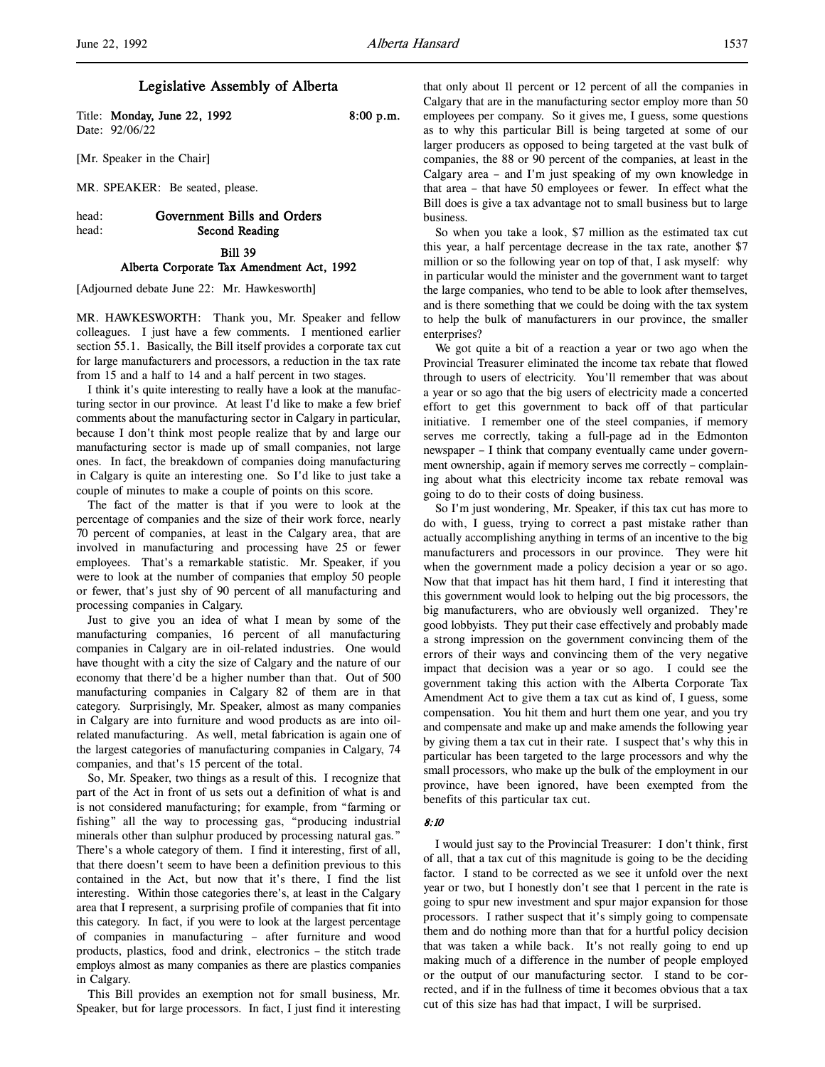# Legislative Assembly of Alberta

Title: Monday, June 22, 1992 8:00 p.m. Date: 92/06/22

[Mr. Speaker in the Chair]

MR. SPEAKER: Be seated, please.

# head: Government Bills and Orders head: Second Reading

Bill 39 Alberta Corporate Tax Amendment Act, 1992

[Adjourned debate June 22: Mr. Hawkesworth]

MR. HAWKESWORTH: Thank you, Mr. Speaker and fellow colleagues. I just have a few comments. I mentioned earlier section 55.1. Basically, the Bill itself provides a corporate tax cut for large manufacturers and processors, a reduction in the tax rate from 15 and a half to 14 and a half percent in two stages.

I think it's quite interesting to really have a look at the manufacturing sector in our province. At least I'd like to make a few brief comments about the manufacturing sector in Calgary in particular, because I don't think most people realize that by and large our manufacturing sector is made up of small companies, not large ones. In fact, the breakdown of companies doing manufacturing in Calgary is quite an interesting one. So I'd like to just take a couple of minutes to make a couple of points on this score.

The fact of the matter is that if you were to look at the percentage of companies and the size of their work force, nearly 70 percent of companies, at least in the Calgary area, that are involved in manufacturing and processing have 25 or fewer employees. That's a remarkable statistic. Mr. Speaker, if you were to look at the number of companies that employ 50 people or fewer, that's just shy of 90 percent of all manufacturing and processing companies in Calgary.

Just to give you an idea of what I mean by some of the manufacturing companies, 16 percent of all manufacturing companies in Calgary are in oil-related industries. One would have thought with a city the size of Calgary and the nature of our economy that there'd be a higher number than that. Out of 500 manufacturing companies in Calgary 82 of them are in that category. Surprisingly, Mr. Speaker, almost as many companies in Calgary are into furniture and wood products as are into oilrelated manufacturing. As well, metal fabrication is again one of the largest categories of manufacturing companies in Calgary, 74 companies, and that's 15 percent of the total.

So, Mr. Speaker, two things as a result of this. I recognize that part of the Act in front of us sets out a definition of what is and is not considered manufacturing; for example, from "farming or fishing" all the way to processing gas, "producing industrial minerals other than sulphur produced by processing natural gas." There's a whole category of them. I find it interesting, first of all, that there doesn't seem to have been a definition previous to this contained in the Act, but now that it's there, I find the list interesting. Within those categories there's, at least in the Calgary area that I represent, a surprising profile of companies that fit into this category. In fact, if you were to look at the largest percentage of companies in manufacturing – after furniture and wood products, plastics, food and drink, electronics – the stitch trade employs almost as many companies as there are plastics companies in Calgary.

This Bill provides an exemption not for small business, Mr. Speaker, but for large processors. In fact, I just find it interesting that only about 11 percent or 12 percent of all the companies in Calgary that are in the manufacturing sector employ more than 50 employees per company. So it gives me, I guess, some questions as to why this particular Bill is being targeted at some of our larger producers as opposed to being targeted at the vast bulk of companies, the 88 or 90 percent of the companies, at least in the Calgary area – and I'm just speaking of my own knowledge in that area – that have 50 employees or fewer. In effect what the Bill does is give a tax advantage not to small business but to large business.

So when you take a look, \$7 million as the estimated tax cut this year, a half percentage decrease in the tax rate, another \$7 million or so the following year on top of that, I ask myself: why in particular would the minister and the government want to target the large companies, who tend to be able to look after themselves, and is there something that we could be doing with the tax system to help the bulk of manufacturers in our province, the smaller enterprises?

We got quite a bit of a reaction a year or two ago when the Provincial Treasurer eliminated the income tax rebate that flowed through to users of electricity. You'll remember that was about a year or so ago that the big users of electricity made a concerted effort to get this government to back off of that particular initiative. I remember one of the steel companies, if memory serves me correctly, taking a full-page ad in the Edmonton newspaper – I think that company eventually came under government ownership, again if memory serves me correctly – complaining about what this electricity income tax rebate removal was going to do to their costs of doing business.

So I'm just wondering, Mr. Speaker, if this tax cut has more to do with, I guess, trying to correct a past mistake rather than actually accomplishing anything in terms of an incentive to the big manufacturers and processors in our province. They were hit when the government made a policy decision a year or so ago. Now that that impact has hit them hard, I find it interesting that this government would look to helping out the big processors, the big manufacturers, who are obviously well organized. They're good lobbyists. They put their case effectively and probably made a strong impression on the government convincing them of the errors of their ways and convincing them of the very negative impact that decision was a year or so ago. I could see the government taking this action with the Alberta Corporate Tax Amendment Act to give them a tax cut as kind of, I guess, some compensation. You hit them and hurt them one year, and you try and compensate and make up and make amends the following year by giving them a tax cut in their rate. I suspect that's why this in particular has been targeted to the large processors and why the small processors, who make up the bulk of the employment in our province, have been ignored, have been exempted from the benefits of this particular tax cut.

#### 8:10

I would just say to the Provincial Treasurer: I don't think, first of all, that a tax cut of this magnitude is going to be the deciding factor. I stand to be corrected as we see it unfold over the next year or two, but I honestly don't see that 1 percent in the rate is going to spur new investment and spur major expansion for those processors. I rather suspect that it's simply going to compensate them and do nothing more than that for a hurtful policy decision that was taken a while back. It's not really going to end up making much of a difference in the number of people employed or the output of our manufacturing sector. I stand to be corrected, and if in the fullness of time it becomes obvious that a tax cut of this size has had that impact, I will be surprised.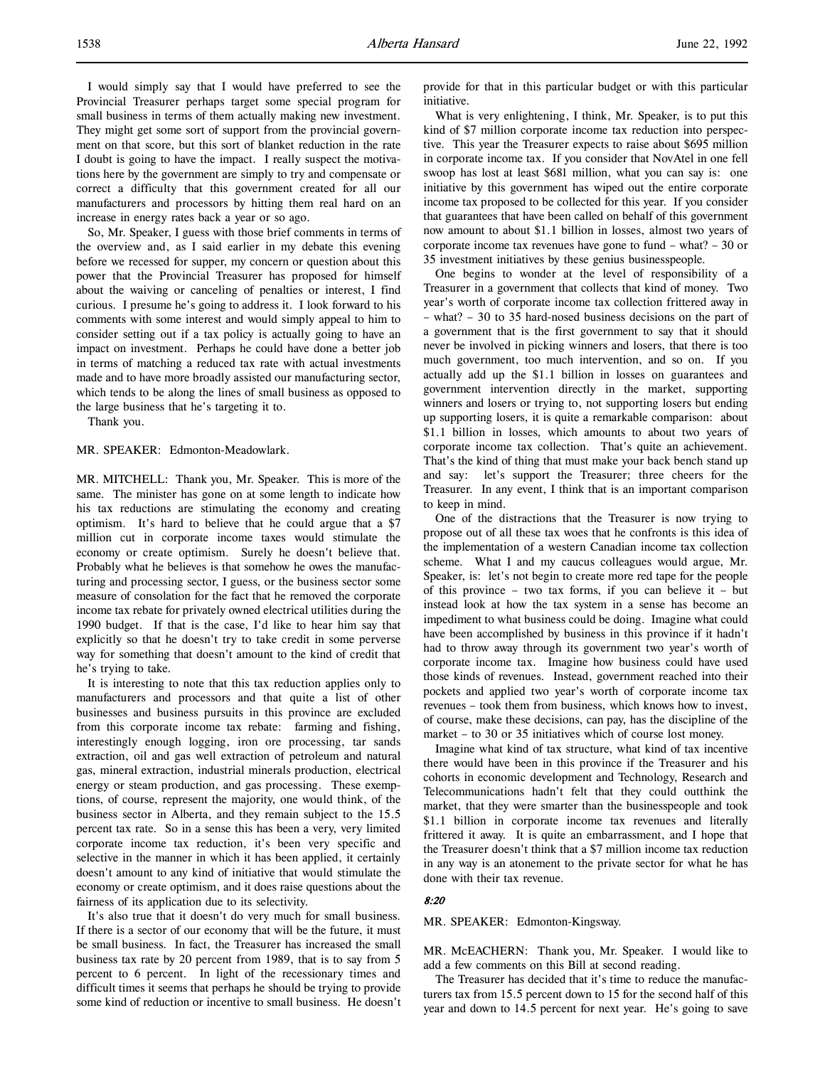I would simply say that I would have preferred to see the Provincial Treasurer perhaps target some special program for small business in terms of them actually making new investment. They might get some sort of support from the provincial government on that score, but this sort of blanket reduction in the rate I doubt is going to have the impact. I really suspect the motivations here by the government are simply to try and compensate or correct a difficulty that this government created for all our manufacturers and processors by hitting them real hard on an increase in energy rates back a year or so ago.

So, Mr. Speaker, I guess with those brief comments in terms of the overview and, as I said earlier in my debate this evening before we recessed for supper, my concern or question about this power that the Provincial Treasurer has proposed for himself about the waiving or canceling of penalties or interest, I find curious. I presume he's going to address it. I look forward to his comments with some interest and would simply appeal to him to consider setting out if a tax policy is actually going to have an impact on investment. Perhaps he could have done a better job in terms of matching a reduced tax rate with actual investments made and to have more broadly assisted our manufacturing sector, which tends to be along the lines of small business as opposed to the large business that he's targeting it to.

Thank you.

#### MR. SPEAKER: Edmonton-Meadowlark.

MR. MITCHELL: Thank you, Mr. Speaker. This is more of the same. The minister has gone on at some length to indicate how his tax reductions are stimulating the economy and creating optimism. It's hard to believe that he could argue that a \$7 million cut in corporate income taxes would stimulate the economy or create optimism. Surely he doesn't believe that. Probably what he believes is that somehow he owes the manufacturing and processing sector, I guess, or the business sector some measure of consolation for the fact that he removed the corporate income tax rebate for privately owned electrical utilities during the 1990 budget. If that is the case, I'd like to hear him say that explicitly so that he doesn't try to take credit in some perverse way for something that doesn't amount to the kind of credit that he's trying to take.

It is interesting to note that this tax reduction applies only to manufacturers and processors and that quite a list of other businesses and business pursuits in this province are excluded from this corporate income tax rebate: farming and fishing, interestingly enough logging, iron ore processing, tar sands extraction, oil and gas well extraction of petroleum and natural gas, mineral extraction, industrial minerals production, electrical energy or steam production, and gas processing. These exemptions, of course, represent the majority, one would think, of the business sector in Alberta, and they remain subject to the 15.5 percent tax rate. So in a sense this has been a very, very limited corporate income tax reduction, it's been very specific and selective in the manner in which it has been applied, it certainly doesn't amount to any kind of initiative that would stimulate the economy or create optimism, and it does raise questions about the fairness of its application due to its selectivity.

It's also true that it doesn't do very much for small business. If there is a sector of our economy that will be the future, it must be small business. In fact, the Treasurer has increased the small business tax rate by 20 percent from 1989, that is to say from 5 percent to 6 percent. In light of the recessionary times and difficult times it seems that perhaps he should be trying to provide some kind of reduction or incentive to small business. He doesn't provide for that in this particular budget or with this particular initiative.

What is very enlightening, I think, Mr. Speaker, is to put this kind of \$7 million corporate income tax reduction into perspective. This year the Treasurer expects to raise about \$695 million in corporate income tax. If you consider that NovAtel in one fell swoop has lost at least \$681 million, what you can say is: one initiative by this government has wiped out the entire corporate income tax proposed to be collected for this year. If you consider that guarantees that have been called on behalf of this government now amount to about \$1.1 billion in losses, almost two years of corporate income tax revenues have gone to fund – what? – 30 or 35 investment initiatives by these genius businesspeople.

One begins to wonder at the level of responsibility of a Treasurer in a government that collects that kind of money. Two year's worth of corporate income tax collection frittered away in – what? – 30 to 35 hard-nosed business decisions on the part of a government that is the first government to say that it should never be involved in picking winners and losers, that there is too much government, too much intervention, and so on. If you actually add up the \$1.1 billion in losses on guarantees and government intervention directly in the market, supporting winners and losers or trying to, not supporting losers but ending up supporting losers, it is quite a remarkable comparison: about \$1.1 billion in losses, which amounts to about two years of corporate income tax collection. That's quite an achievement. That's the kind of thing that must make your back bench stand up and say: let's support the Treasurer; three cheers for the Treasurer. In any event, I think that is an important comparison to keep in mind.

One of the distractions that the Treasurer is now trying to propose out of all these tax woes that he confronts is this idea of the implementation of a western Canadian income tax collection scheme. What I and my caucus colleagues would argue, Mr. Speaker, is: let's not begin to create more red tape for the people of this province – two tax forms, if you can believe it – but instead look at how the tax system in a sense has become an impediment to what business could be doing. Imagine what could have been accomplished by business in this province if it hadn't had to throw away through its government two year's worth of corporate income tax. Imagine how business could have used those kinds of revenues. Instead, government reached into their pockets and applied two year's worth of corporate income tax revenues – took them from business, which knows how to invest, of course, make these decisions, can pay, has the discipline of the market – to 30 or 35 initiatives which of course lost money.

Imagine what kind of tax structure, what kind of tax incentive there would have been in this province if the Treasurer and his cohorts in economic development and Technology, Research and Telecommunications hadn't felt that they could outthink the market, that they were smarter than the businesspeople and took \$1.1 billion in corporate income tax revenues and literally frittered it away. It is quite an embarrassment, and I hope that the Treasurer doesn't think that a \$7 million income tax reduction in any way is an atonement to the private sector for what he has done with their tax revenue.

#### 8:20

#### MR. SPEAKER: Edmonton-Kingsway.

MR. McEACHERN: Thank you, Mr. Speaker. I would like to add a few comments on this Bill at second reading.

The Treasurer has decided that it's time to reduce the manufacturers tax from 15.5 percent down to 15 for the second half of this year and down to 14.5 percent for next year. He's going to save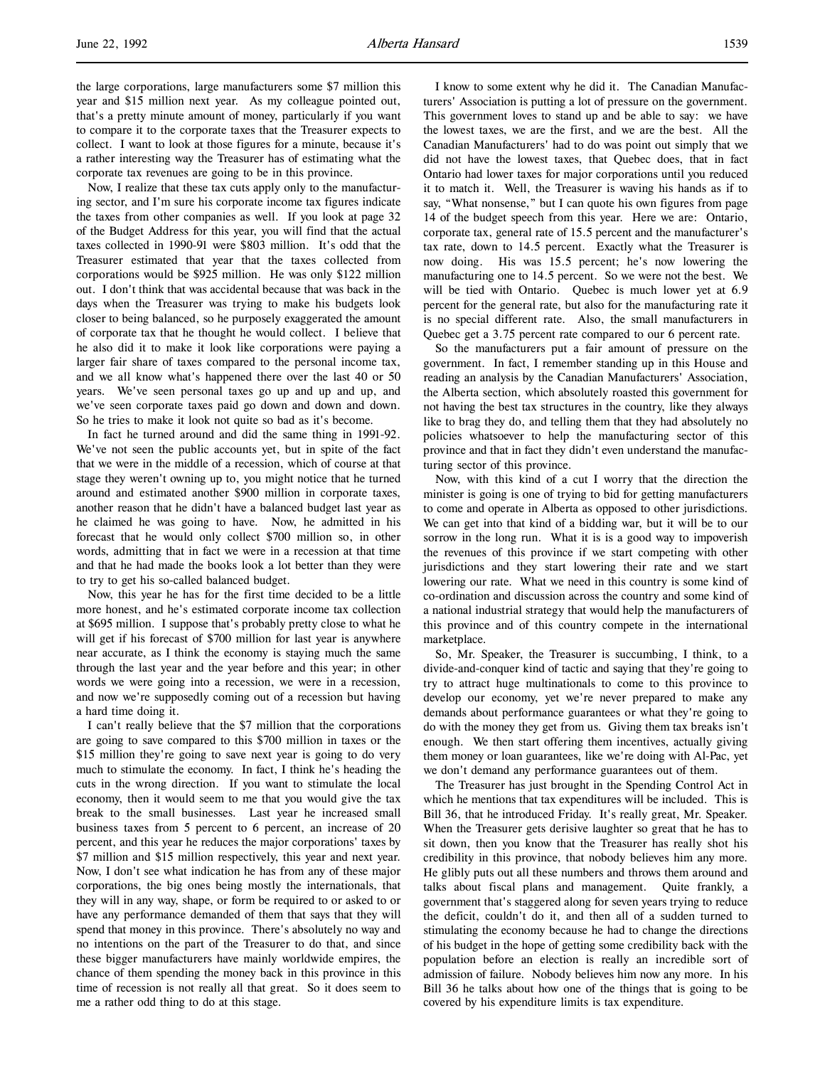the large corporations, large manufacturers some \$7 million this year and \$15 million next year. As my colleague pointed out, that's a pretty minute amount of money, particularly if you want to compare it to the corporate taxes that the Treasurer expects to collect. I want to look at those figures for a minute, because it's a rather interesting way the Treasurer has of estimating what the corporate tax revenues are going to be in this province.

Now, I realize that these tax cuts apply only to the manufacturing sector, and I'm sure his corporate income tax figures indicate the taxes from other companies as well. If you look at page 32 of the Budget Address for this year, you will find that the actual taxes collected in 1990-91 were \$803 million. It's odd that the Treasurer estimated that year that the taxes collected from corporations would be \$925 million. He was only \$122 million out. I don't think that was accidental because that was back in the days when the Treasurer was trying to make his budgets look closer to being balanced, so he purposely exaggerated the amount of corporate tax that he thought he would collect. I believe that he also did it to make it look like corporations were paying a larger fair share of taxes compared to the personal income tax, and we all know what's happened there over the last 40 or 50 years. We've seen personal taxes go up and up and up, and we've seen corporate taxes paid go down and down and down. So he tries to make it look not quite so bad as it's become.

In fact he turned around and did the same thing in 1991-92. We've not seen the public accounts yet, but in spite of the fact that we were in the middle of a recession, which of course at that stage they weren't owning up to, you might notice that he turned around and estimated another \$900 million in corporate taxes, another reason that he didn't have a balanced budget last year as he claimed he was going to have. Now, he admitted in his forecast that he would only collect \$700 million so, in other words, admitting that in fact we were in a recession at that time and that he had made the books look a lot better than they were to try to get his so-called balanced budget.

Now, this year he has for the first time decided to be a little more honest, and he's estimated corporate income tax collection at \$695 million. I suppose that's probably pretty close to what he will get if his forecast of \$700 million for last year is anywhere near accurate, as I think the economy is staying much the same through the last year and the year before and this year; in other words we were going into a recession, we were in a recession, and now we're supposedly coming out of a recession but having a hard time doing it.

I can't really believe that the \$7 million that the corporations are going to save compared to this \$700 million in taxes or the \$15 million they're going to save next year is going to do very much to stimulate the economy. In fact, I think he's heading the cuts in the wrong direction. If you want to stimulate the local economy, then it would seem to me that you would give the tax break to the small businesses. Last year he increased small business taxes from 5 percent to 6 percent, an increase of 20 percent, and this year he reduces the major corporations' taxes by \$7 million and \$15 million respectively, this year and next year. Now, I don't see what indication he has from any of these major corporations, the big ones being mostly the internationals, that they will in any way, shape, or form be required to or asked to or have any performance demanded of them that says that they will spend that money in this province. There's absolutely no way and no intentions on the part of the Treasurer to do that, and since these bigger manufacturers have mainly worldwide empires, the chance of them spending the money back in this province in this time of recession is not really all that great. So it does seem to me a rather odd thing to do at this stage.

I know to some extent why he did it. The Canadian Manufacturers' Association is putting a lot of pressure on the government. This government loves to stand up and be able to say: we have the lowest taxes, we are the first, and we are the best. All the Canadian Manufacturers' had to do was point out simply that we did not have the lowest taxes, that Quebec does, that in fact Ontario had lower taxes for major corporations until you reduced it to match it. Well, the Treasurer is waving his hands as if to say, "What nonsense," but I can quote his own figures from page 14 of the budget speech from this year. Here we are: Ontario, corporate tax, general rate of 15.5 percent and the manufacturer's tax rate, down to 14.5 percent. Exactly what the Treasurer is now doing. His was 15.5 percent; he's now lowering the manufacturing one to 14.5 percent. So we were not the best. We will be tied with Ontario. Quebec is much lower yet at 6.9 percent for the general rate, but also for the manufacturing rate it is no special different rate. Also, the small manufacturers in Quebec get a 3.75 percent rate compared to our 6 percent rate.

So the manufacturers put a fair amount of pressure on the government. In fact, I remember standing up in this House and reading an analysis by the Canadian Manufacturers' Association, the Alberta section, which absolutely roasted this government for not having the best tax structures in the country, like they always like to brag they do, and telling them that they had absolutely no policies whatsoever to help the manufacturing sector of this province and that in fact they didn't even understand the manufacturing sector of this province.

Now, with this kind of a cut I worry that the direction the minister is going is one of trying to bid for getting manufacturers to come and operate in Alberta as opposed to other jurisdictions. We can get into that kind of a bidding war, but it will be to our sorrow in the long run. What it is is a good way to impoverish the revenues of this province if we start competing with other jurisdictions and they start lowering their rate and we start lowering our rate. What we need in this country is some kind of co-ordination and discussion across the country and some kind of a national industrial strategy that would help the manufacturers of this province and of this country compete in the international marketplace.

So, Mr. Speaker, the Treasurer is succumbing, I think, to a divide-and-conquer kind of tactic and saying that they're going to try to attract huge multinationals to come to this province to develop our economy, yet we're never prepared to make any demands about performance guarantees or what they're going to do with the money they get from us. Giving them tax breaks isn't enough. We then start offering them incentives, actually giving them money or loan guarantees, like we're doing with Al-Pac, yet we don't demand any performance guarantees out of them.

The Treasurer has just brought in the Spending Control Act in which he mentions that tax expenditures will be included. This is Bill 36, that he introduced Friday. It's really great, Mr. Speaker. When the Treasurer gets derisive laughter so great that he has to sit down, then you know that the Treasurer has really shot his credibility in this province, that nobody believes him any more. He glibly puts out all these numbers and throws them around and talks about fiscal plans and management. Quite frankly, a government that's staggered along for seven years trying to reduce the deficit, couldn't do it, and then all of a sudden turned to stimulating the economy because he had to change the directions of his budget in the hope of getting some credibility back with the population before an election is really an incredible sort of admission of failure. Nobody believes him now any more. In his Bill 36 he talks about how one of the things that is going to be covered by his expenditure limits is tax expenditure.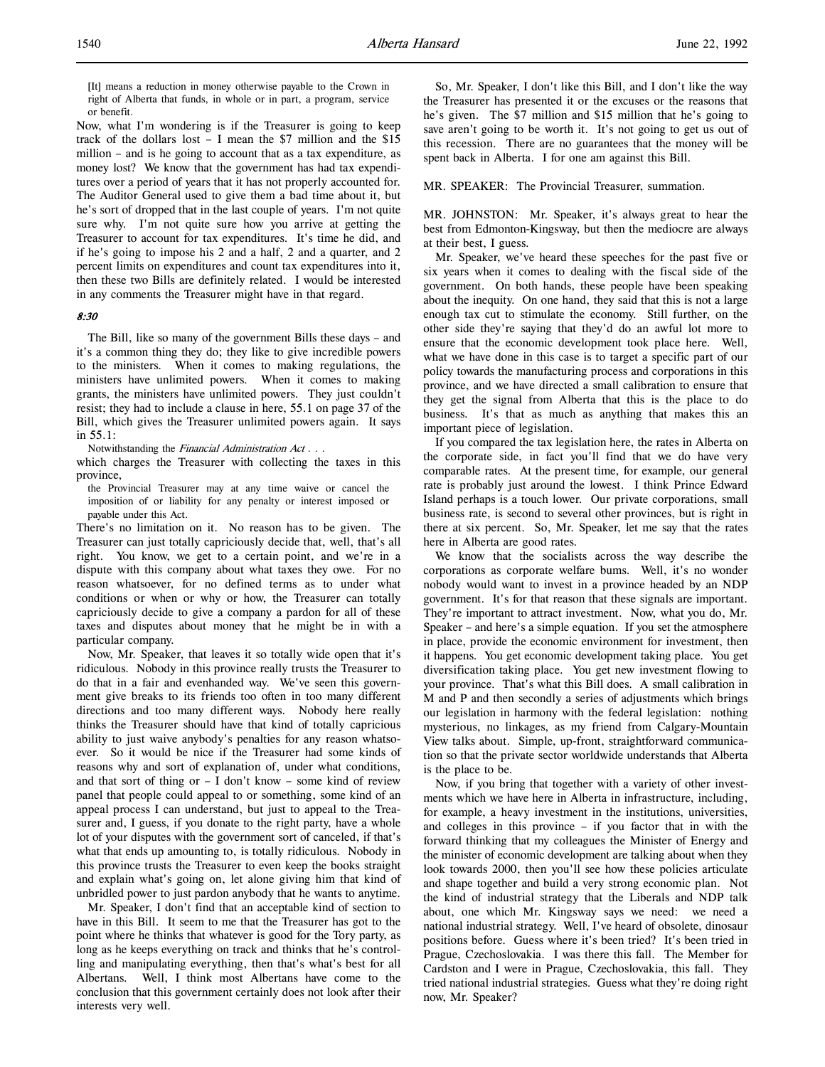[It] means a reduction in money otherwise payable to the Crown in right of Alberta that funds, in whole or in part, a program, service or benefit.

Now, what I'm wondering is if the Treasurer is going to keep track of the dollars lost – I mean the \$7 million and the \$15 million – and is he going to account that as a tax expenditure, as money lost? We know that the government has had tax expenditures over a period of years that it has not properly accounted for. The Auditor General used to give them a bad time about it, but he's sort of dropped that in the last couple of years. I'm not quite sure why. I'm not quite sure how you arrive at getting the Treasurer to account for tax expenditures. It's time he did, and if he's going to impose his 2 and a half, 2 and a quarter, and 2 percent limits on expenditures and count tax expenditures into it, then these two Bills are definitely related. I would be interested in any comments the Treasurer might have in that regard.

#### 8:30

The Bill, like so many of the government Bills these days – and it's a common thing they do; they like to give incredible powers to the ministers. When it comes to making regulations, the ministers have unlimited powers. When it comes to making grants, the ministers have unlimited powers. They just couldn't resist; they had to include a clause in here, 55.1 on page 37 of the Bill, which gives the Treasurer unlimited powers again. It says in 55.1:

Notwithstanding the *Financial Administration Act* . . .

which charges the Treasurer with collecting the taxes in this province,

the Provincial Treasurer may at any time waive or cancel the imposition of or liability for any penalty or interest imposed or payable under this Act.

There's no limitation on it. No reason has to be given. The Treasurer can just totally capriciously decide that, well, that's all right. You know, we get to a certain point, and we're in a dispute with this company about what taxes they owe. For no reason whatsoever, for no defined terms as to under what conditions or when or why or how, the Treasurer can totally capriciously decide to give a company a pardon for all of these taxes and disputes about money that he might be in with a particular company.

Now, Mr. Speaker, that leaves it so totally wide open that it's ridiculous. Nobody in this province really trusts the Treasurer to do that in a fair and evenhanded way. We've seen this government give breaks to its friends too often in too many different directions and too many different ways. Nobody here really thinks the Treasurer should have that kind of totally capricious ability to just waive anybody's penalties for any reason whatsoever. So it would be nice if the Treasurer had some kinds of reasons why and sort of explanation of, under what conditions, and that sort of thing or  $- I$  don't know  $-$  some kind of review panel that people could appeal to or something, some kind of an appeal process I can understand, but just to appeal to the Treasurer and, I guess, if you donate to the right party, have a whole lot of your disputes with the government sort of canceled, if that's what that ends up amounting to, is totally ridiculous. Nobody in this province trusts the Treasurer to even keep the books straight and explain what's going on, let alone giving him that kind of unbridled power to just pardon anybody that he wants to anytime.

Mr. Speaker, I don't find that an acceptable kind of section to have in this Bill. It seem to me that the Treasurer has got to the point where he thinks that whatever is good for the Tory party, as long as he keeps everything on track and thinks that he's controlling and manipulating everything, then that's what's best for all Albertans. Well, I think most Albertans have come to the conclusion that this government certainly does not look after their interests very well.

So, Mr. Speaker, I don't like this Bill, and I don't like the way the Treasurer has presented it or the excuses or the reasons that he's given. The \$7 million and \$15 million that he's going to save aren't going to be worth it. It's not going to get us out of this recession. There are no guarantees that the money will be spent back in Alberta. I for one am against this Bill.

MR. SPEAKER: The Provincial Treasurer, summation.

MR. JOHNSTON: Mr. Speaker, it's always great to hear the best from Edmonton-Kingsway, but then the mediocre are always at their best, I guess.

Mr. Speaker, we've heard these speeches for the past five or six years when it comes to dealing with the fiscal side of the government. On both hands, these people have been speaking about the inequity. On one hand, they said that this is not a large enough tax cut to stimulate the economy. Still further, on the other side they're saying that they'd do an awful lot more to ensure that the economic development took place here. Well, what we have done in this case is to target a specific part of our policy towards the manufacturing process and corporations in this province, and we have directed a small calibration to ensure that they get the signal from Alberta that this is the place to do business. It's that as much as anything that makes this an important piece of legislation.

If you compared the tax legislation here, the rates in Alberta on the corporate side, in fact you'll find that we do have very comparable rates. At the present time, for example, our general rate is probably just around the lowest. I think Prince Edward Island perhaps is a touch lower. Our private corporations, small business rate, is second to several other provinces, but is right in there at six percent. So, Mr. Speaker, let me say that the rates here in Alberta are good rates.

We know that the socialists across the way describe the corporations as corporate welfare bums. Well, it's no wonder nobody would want to invest in a province headed by an NDP government. It's for that reason that these signals are important. They're important to attract investment. Now, what you do, Mr. Speaker – and here's a simple equation. If you set the atmosphere in place, provide the economic environment for investment, then it happens. You get economic development taking place. You get diversification taking place. You get new investment flowing to your province. That's what this Bill does. A small calibration in M and P and then secondly a series of adjustments which brings our legislation in harmony with the federal legislation: nothing mysterious, no linkages, as my friend from Calgary-Mountain View talks about. Simple, up-front, straightforward communication so that the private sector worldwide understands that Alberta is the place to be.

Now, if you bring that together with a variety of other investments which we have here in Alberta in infrastructure, including, for example, a heavy investment in the institutions, universities, and colleges in this province – if you factor that in with the forward thinking that my colleagues the Minister of Energy and the minister of economic development are talking about when they look towards 2000, then you'll see how these policies articulate and shape together and build a very strong economic plan. Not the kind of industrial strategy that the Liberals and NDP talk about, one which Mr. Kingsway says we need: we need a national industrial strategy. Well, I've heard of obsolete, dinosaur positions before. Guess where it's been tried? It's been tried in Prague, Czechoslovakia. I was there this fall. The Member for Cardston and I were in Prague, Czechoslovakia, this fall. They tried national industrial strategies. Guess what they're doing right now, Mr. Speaker?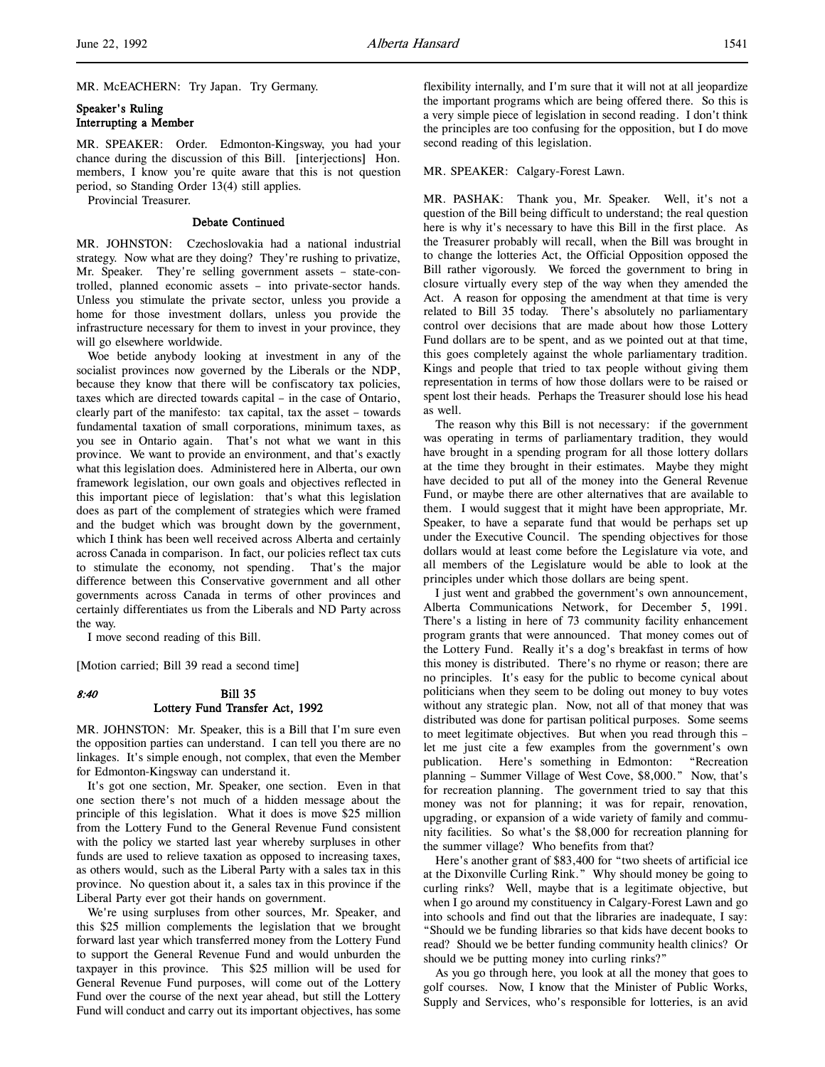MR. McEACHERN: Try Japan. Try Germany.

## Speaker's Ruling Interrupting a Member

MR. SPEAKER: Order. Edmonton-Kingsway, you had your chance during the discussion of this Bill. [interjections] Hon. members, I know you're quite aware that this is not question period, so Standing Order 13(4) still applies.

Provincial Treasurer.

#### Debate Continued

MR. JOHNSTON: Czechoslovakia had a national industrial strategy. Now what are they doing? They're rushing to privatize, Mr. Speaker. They're selling government assets – state-controlled, planned economic assets – into private-sector hands. Unless you stimulate the private sector, unless you provide a home for those investment dollars, unless you provide the infrastructure necessary for them to invest in your province, they will go elsewhere worldwide.

Woe betide anybody looking at investment in any of the socialist provinces now governed by the Liberals or the NDP, because they know that there will be confiscatory tax policies, taxes which are directed towards capital – in the case of Ontario, clearly part of the manifesto: tax capital, tax the asset – towards fundamental taxation of small corporations, minimum taxes, as you see in Ontario again. That's not what we want in this province. We want to provide an environment, and that's exactly what this legislation does. Administered here in Alberta, our own framework legislation, our own goals and objectives reflected in this important piece of legislation: that's what this legislation does as part of the complement of strategies which were framed and the budget which was brought down by the government, which I think has been well received across Alberta and certainly across Canada in comparison. In fact, our policies reflect tax cuts to stimulate the economy, not spending. That's the major difference between this Conservative government and all other governments across Canada in terms of other provinces and certainly differentiates us from the Liberals and ND Party across the way.

I move second reading of this Bill.

[Motion carried; Bill 39 read a second time]

# 8:40 Bill 35 Lottery Fund Transfer Act, 1992

MR. JOHNSTON: Mr. Speaker, this is a Bill that I'm sure even the opposition parties can understand. I can tell you there are no linkages. It's simple enough, not complex, that even the Member for Edmonton-Kingsway can understand it.

It's got one section, Mr. Speaker, one section. Even in that one section there's not much of a hidden message about the principle of this legislation. What it does is move \$25 million from the Lottery Fund to the General Revenue Fund consistent with the policy we started last year whereby surpluses in other funds are used to relieve taxation as opposed to increasing taxes, as others would, such as the Liberal Party with a sales tax in this province. No question about it, a sales tax in this province if the Liberal Party ever got their hands on government.

We're using surpluses from other sources, Mr. Speaker, and this \$25 million complements the legislation that we brought forward last year which transferred money from the Lottery Fund to support the General Revenue Fund and would unburden the taxpayer in this province. This \$25 million will be used for General Revenue Fund purposes, will come out of the Lottery Fund over the course of the next year ahead, but still the Lottery Fund will conduct and carry out its important objectives, has some

flexibility internally, and I'm sure that it will not at all jeopardize the important programs which are being offered there. So this is a very simple piece of legislation in second reading. I don't think the principles are too confusing for the opposition, but I do move second reading of this legislation.

#### MR. SPEAKER: Calgary-Forest Lawn.

MR. PASHAK: Thank you, Mr. Speaker. Well, it's not a question of the Bill being difficult to understand; the real question here is why it's necessary to have this Bill in the first place. As the Treasurer probably will recall, when the Bill was brought in to change the lotteries Act, the Official Opposition opposed the Bill rather vigorously. We forced the government to bring in closure virtually every step of the way when they amended the Act. A reason for opposing the amendment at that time is very related to Bill 35 today. There's absolutely no parliamentary control over decisions that are made about how those Lottery Fund dollars are to be spent, and as we pointed out at that time, this goes completely against the whole parliamentary tradition. Kings and people that tried to tax people without giving them representation in terms of how those dollars were to be raised or spent lost their heads. Perhaps the Treasurer should lose his head as well.

The reason why this Bill is not necessary: if the government was operating in terms of parliamentary tradition, they would have brought in a spending program for all those lottery dollars at the time they brought in their estimates. Maybe they might have decided to put all of the money into the General Revenue Fund, or maybe there are other alternatives that are available to them. I would suggest that it might have been appropriate, Mr. Speaker, to have a separate fund that would be perhaps set up under the Executive Council. The spending objectives for those dollars would at least come before the Legislature via vote, and all members of the Legislature would be able to look at the principles under which those dollars are being spent.

I just went and grabbed the government's own announcement, Alberta Communications Network, for December 5, 1991. There's a listing in here of 73 community facility enhancement program grants that were announced. That money comes out of the Lottery Fund. Really it's a dog's breakfast in terms of how this money is distributed. There's no rhyme or reason; there are no principles. It's easy for the public to become cynical about politicians when they seem to be doling out money to buy votes without any strategic plan. Now, not all of that money that was distributed was done for partisan political purposes. Some seems to meet legitimate objectives. But when you read through this – let me just cite a few examples from the government's own publication. Here's something in Edmonton: "Recreation planning – Summer Village of West Cove, \$8,000." Now, that's for recreation planning. The government tried to say that this money was not for planning; it was for repair, renovation, upgrading, or expansion of a wide variety of family and community facilities. So what's the \$8,000 for recreation planning for the summer village? Who benefits from that?

Here's another grant of \$83,400 for "two sheets of artificial ice at the Dixonville Curling Rink." Why should money be going to curling rinks? Well, maybe that is a legitimate objective, but when I go around my constituency in Calgary-Forest Lawn and go into schools and find out that the libraries are inadequate, I say: "Should we be funding libraries so that kids have decent books to read? Should we be better funding community health clinics? Or should we be putting money into curling rinks?"

As you go through here, you look at all the money that goes to golf courses. Now, I know that the Minister of Public Works, Supply and Services, who's responsible for lotteries, is an avid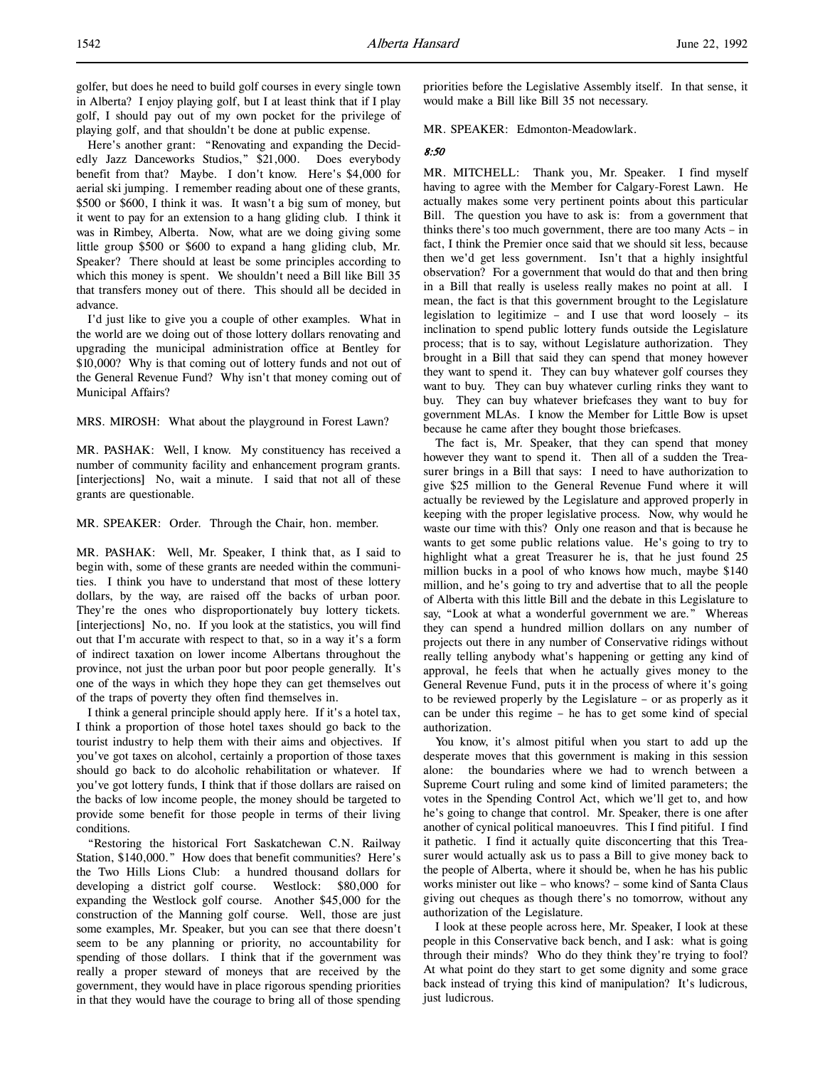Here's another grant: "Renovating and expanding the Decidedly Jazz Danceworks Studios," \$21,000. Does everybody benefit from that? Maybe. I don't know. Here's \$4,000 for aerial ski jumping. I remember reading about one of these grants, \$500 or \$600, I think it was. It wasn't a big sum of money, but it went to pay for an extension to a hang gliding club. I think it was in Rimbey, Alberta. Now, what are we doing giving some little group \$500 or \$600 to expand a hang gliding club, Mr. Speaker? There should at least be some principles according to which this money is spent. We shouldn't need a Bill like Bill 35 that transfers money out of there. This should all be decided in advance.

I'd just like to give you a couple of other examples. What in the world are we doing out of those lottery dollars renovating and upgrading the municipal administration office at Bentley for \$10,000? Why is that coming out of lottery funds and not out of the General Revenue Fund? Why isn't that money coming out of Municipal Affairs?

MRS. MIROSH: What about the playground in Forest Lawn?

MR. PASHAK: Well, I know. My constituency has received a number of community facility and enhancement program grants. [interjections] No, wait a minute. I said that not all of these grants are questionable.

MR. SPEAKER: Order. Through the Chair, hon. member.

MR. PASHAK: Well, Mr. Speaker, I think that, as I said to begin with, some of these grants are needed within the communities. I think you have to understand that most of these lottery dollars, by the way, are raised off the backs of urban poor. They're the ones who disproportionately buy lottery tickets. [interjections] No, no. If you look at the statistics, you will find out that I'm accurate with respect to that, so in a way it's a form of indirect taxation on lower income Albertans throughout the province, not just the urban poor but poor people generally. It's one of the ways in which they hope they can get themselves out of the traps of poverty they often find themselves in.

I think a general principle should apply here. If it's a hotel tax, I think a proportion of those hotel taxes should go back to the tourist industry to help them with their aims and objectives. If you've got taxes on alcohol, certainly a proportion of those taxes should go back to do alcoholic rehabilitation or whatever. If you've got lottery funds, I think that if those dollars are raised on the backs of low income people, the money should be targeted to provide some benefit for those people in terms of their living conditions.

"Restoring the historical Fort Saskatchewan C.N. Railway Station, \$140,000." How does that benefit communities? Here's the Two Hills Lions Club: a hundred thousand dollars for developing a district golf course. Westlock: \$80,000 for expanding the Westlock golf course. Another \$45,000 for the construction of the Manning golf course. Well, those are just some examples, Mr. Speaker, but you can see that there doesn't seem to be any planning or priority, no accountability for spending of those dollars. I think that if the government was really a proper steward of moneys that are received by the government, they would have in place rigorous spending priorities in that they would have the courage to bring all of those spending

priorities before the Legislative Assembly itself. In that sense, it would make a Bill like Bill 35 not necessary.

MR. SPEAKER: Edmonton-Meadowlark.

#### 8:50

MR. MITCHELL: Thank you, Mr. Speaker. I find myself having to agree with the Member for Calgary-Forest Lawn. He actually makes some very pertinent points about this particular Bill. The question you have to ask is: from a government that thinks there's too much government, there are too many Acts – in fact, I think the Premier once said that we should sit less, because then we'd get less government. Isn't that a highly insightful observation? For a government that would do that and then bring in a Bill that really is useless really makes no point at all. I mean, the fact is that this government brought to the Legislature legislation to legitimize – and I use that word loosely – its inclination to spend public lottery funds outside the Legislature process; that is to say, without Legislature authorization. They brought in a Bill that said they can spend that money however they want to spend it. They can buy whatever golf courses they want to buy. They can buy whatever curling rinks they want to buy. They can buy whatever briefcases they want to buy for government MLAs. I know the Member for Little Bow is upset because he came after they bought those briefcases.

The fact is, Mr. Speaker, that they can spend that money however they want to spend it. Then all of a sudden the Treasurer brings in a Bill that says: I need to have authorization to give \$25 million to the General Revenue Fund where it will actually be reviewed by the Legislature and approved properly in keeping with the proper legislative process. Now, why would he waste our time with this? Only one reason and that is because he wants to get some public relations value. He's going to try to highlight what a great Treasurer he is, that he just found 25 million bucks in a pool of who knows how much, maybe \$140 million, and he's going to try and advertise that to all the people of Alberta with this little Bill and the debate in this Legislature to say, "Look at what a wonderful government we are." Whereas they can spend a hundred million dollars on any number of projects out there in any number of Conservative ridings without really telling anybody what's happening or getting any kind of approval, he feels that when he actually gives money to the General Revenue Fund, puts it in the process of where it's going to be reviewed properly by the Legislature – or as properly as it can be under this regime – he has to get some kind of special authorization.

You know, it's almost pitiful when you start to add up the desperate moves that this government is making in this session alone: the boundaries where we had to wrench between a Supreme Court ruling and some kind of limited parameters; the votes in the Spending Control Act, which we'll get to, and how he's going to change that control. Mr. Speaker, there is one after another of cynical political manoeuvres. This I find pitiful. I find it pathetic. I find it actually quite disconcerting that this Treasurer would actually ask us to pass a Bill to give money back to the people of Alberta, where it should be, when he has his public works minister out like – who knows? – some kind of Santa Claus giving out cheques as though there's no tomorrow, without any authorization of the Legislature.

I look at these people across here, Mr. Speaker, I look at these people in this Conservative back bench, and I ask: what is going through their minds? Who do they think they're trying to fool? At what point do they start to get some dignity and some grace back instead of trying this kind of manipulation? It's ludicrous, just ludicrous.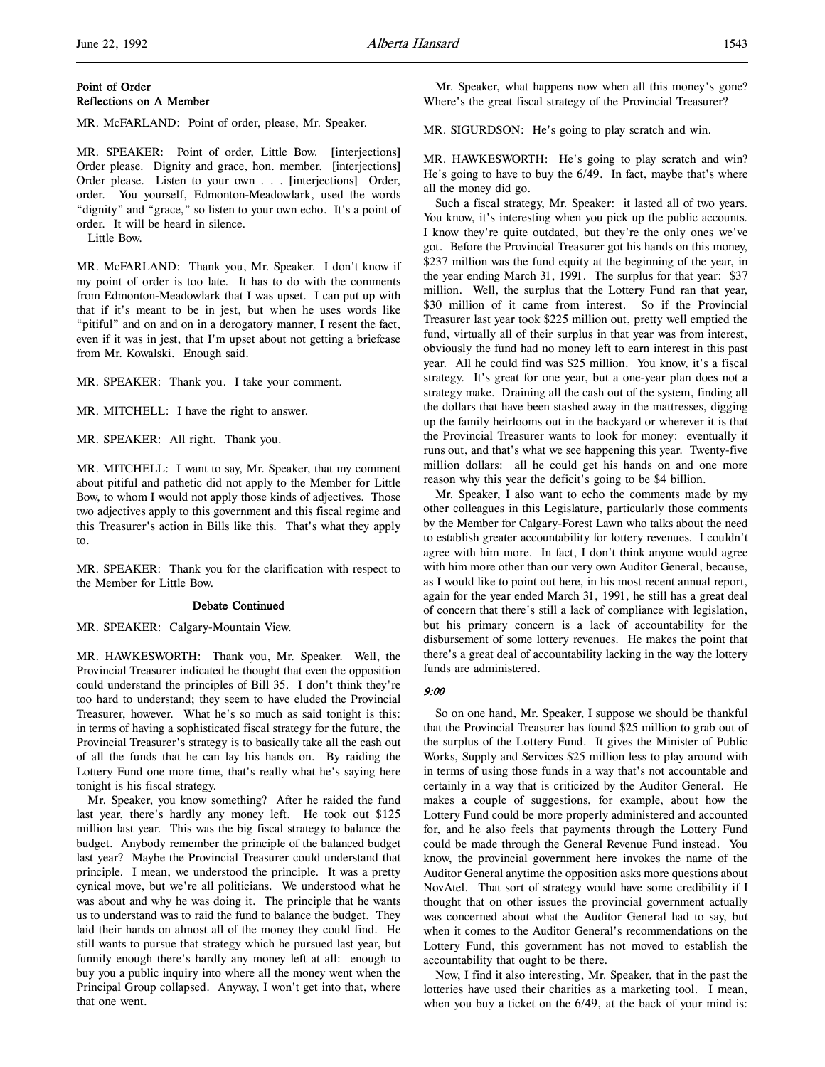# Point of Order Reflections on A Member

MR. McFARLAND: Point of order, please, Mr. Speaker.

MR. SPEAKER: Point of order, Little Bow. [interjections] Order please. Dignity and grace, hon. member. [interjections] Order please. Listen to your own . . . [interjections] Order, order. You yourself, Edmonton-Meadowlark, used the words "dignity" and "grace," so listen to your own echo. It's a point of order. It will be heard in silence.

Little Bow.

MR. McFARLAND: Thank you, Mr. Speaker. I don't know if my point of order is too late. It has to do with the comments from Edmonton-Meadowlark that I was upset. I can put up with that if it's meant to be in jest, but when he uses words like "pitiful" and on and on in a derogatory manner, I resent the fact, even if it was in jest, that I'm upset about not getting a briefcase from Mr. Kowalski. Enough said.

MR. SPEAKER: Thank you. I take your comment.

MR. MITCHELL: I have the right to answer.

MR. SPEAKER: All right. Thank you.

MR. MITCHELL: I want to say, Mr. Speaker, that my comment about pitiful and pathetic did not apply to the Member for Little Bow, to whom I would not apply those kinds of adjectives. Those two adjectives apply to this government and this fiscal regime and this Treasurer's action in Bills like this. That's what they apply to.

MR. SPEAKER: Thank you for the clarification with respect to the Member for Little Bow.

#### Debate Continued

MR. SPEAKER: Calgary-Mountain View.

MR. HAWKESWORTH: Thank you, Mr. Speaker. Well, the Provincial Treasurer indicated he thought that even the opposition could understand the principles of Bill 35. I don't think they're too hard to understand; they seem to have eluded the Provincial Treasurer, however. What he's so much as said tonight is this: in terms of having a sophisticated fiscal strategy for the future, the Provincial Treasurer's strategy is to basically take all the cash out of all the funds that he can lay his hands on. By raiding the Lottery Fund one more time, that's really what he's saying here tonight is his fiscal strategy.

Mr. Speaker, you know something? After he raided the fund last year, there's hardly any money left. He took out \$125 million last year. This was the big fiscal strategy to balance the budget. Anybody remember the principle of the balanced budget last year? Maybe the Provincial Treasurer could understand that principle. I mean, we understood the principle. It was a pretty cynical move, but we're all politicians. We understood what he was about and why he was doing it. The principle that he wants us to understand was to raid the fund to balance the budget. They laid their hands on almost all of the money they could find. He still wants to pursue that strategy which he pursued last year, but funnily enough there's hardly any money left at all: enough to buy you a public inquiry into where all the money went when the Principal Group collapsed. Anyway, I won't get into that, where that one went.

Mr. Speaker, what happens now when all this money's gone? Where's the great fiscal strategy of the Provincial Treasurer?

MR. SIGURDSON: He's going to play scratch and win.

MR. HAWKESWORTH: He's going to play scratch and win? He's going to have to buy the 6/49. In fact, maybe that's where all the money did go.

Such a fiscal strategy, Mr. Speaker: it lasted all of two years. You know, it's interesting when you pick up the public accounts. I know they're quite outdated, but they're the only ones we've got. Before the Provincial Treasurer got his hands on this money, \$237 million was the fund equity at the beginning of the year, in the year ending March 31, 1991. The surplus for that year: \$37 million. Well, the surplus that the Lottery Fund ran that year, \$30 million of it came from interest. So if the Provincial Treasurer last year took \$225 million out, pretty well emptied the fund, virtually all of their surplus in that year was from interest, obviously the fund had no money left to earn interest in this past year. All he could find was \$25 million. You know, it's a fiscal strategy. It's great for one year, but a one-year plan does not a strategy make. Draining all the cash out of the system, finding all the dollars that have been stashed away in the mattresses, digging up the family heirlooms out in the backyard or wherever it is that the Provincial Treasurer wants to look for money: eventually it runs out, and that's what we see happening this year. Twenty-five million dollars: all he could get his hands on and one more reason why this year the deficit's going to be \$4 billion.

Mr. Speaker, I also want to echo the comments made by my other colleagues in this Legislature, particularly those comments by the Member for Calgary-Forest Lawn who talks about the need to establish greater accountability for lottery revenues. I couldn't agree with him more. In fact, I don't think anyone would agree with him more other than our very own Auditor General, because, as I would like to point out here, in his most recent annual report, again for the year ended March 31, 1991, he still has a great deal of concern that there's still a lack of compliance with legislation, but his primary concern is a lack of accountability for the disbursement of some lottery revenues. He makes the point that there's a great deal of accountability lacking in the way the lottery funds are administered.

# 9:00

So on one hand, Mr. Speaker, I suppose we should be thankful that the Provincial Treasurer has found \$25 million to grab out of the surplus of the Lottery Fund. It gives the Minister of Public Works, Supply and Services \$25 million less to play around with in terms of using those funds in a way that's not accountable and certainly in a way that is criticized by the Auditor General. He makes a couple of suggestions, for example, about how the Lottery Fund could be more properly administered and accounted for, and he also feels that payments through the Lottery Fund could be made through the General Revenue Fund instead. You know, the provincial government here invokes the name of the Auditor General anytime the opposition asks more questions about NovAtel. That sort of strategy would have some credibility if I thought that on other issues the provincial government actually was concerned about what the Auditor General had to say, but when it comes to the Auditor General's recommendations on the Lottery Fund, this government has not moved to establish the accountability that ought to be there.

Now, I find it also interesting, Mr. Speaker, that in the past the lotteries have used their charities as a marketing tool. I mean, when you buy a ticket on the 6/49, at the back of your mind is: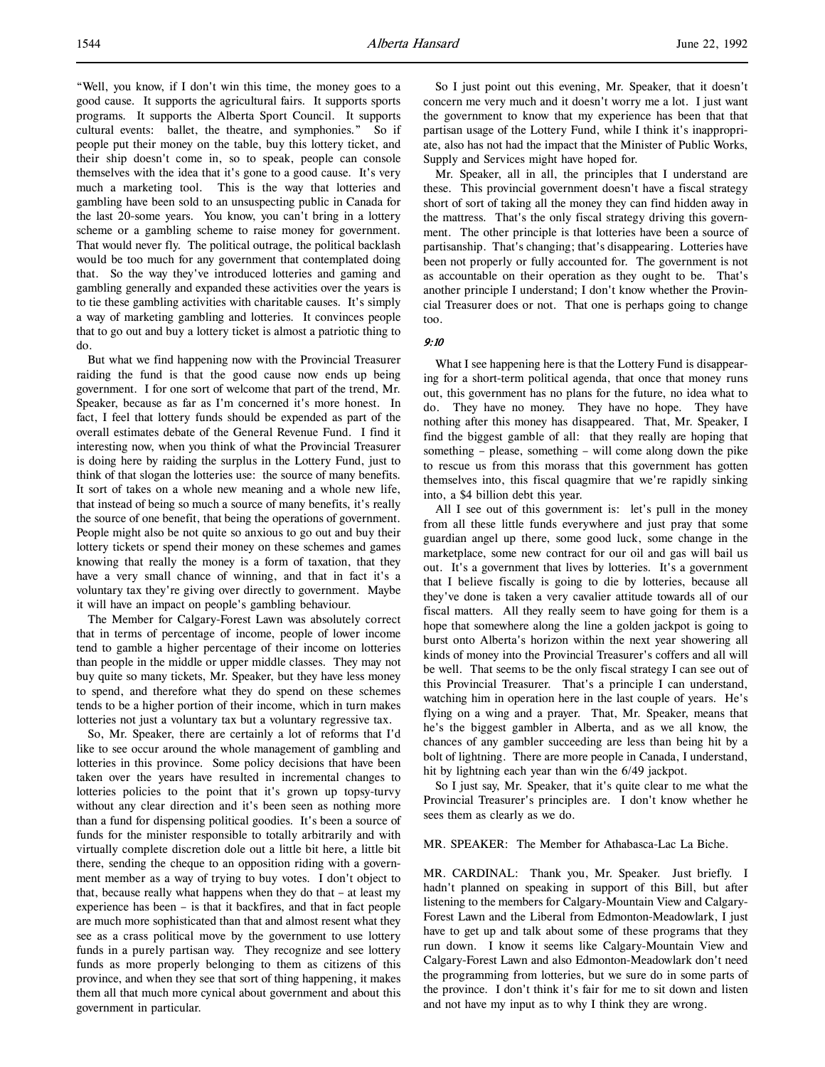"Well, you know, if I don't win this time, the money goes to a good cause. It supports the agricultural fairs. It supports sports programs. It supports the Alberta Sport Council. It supports cultural events: ballet, the theatre, and symphonies." So if people put their money on the table, buy this lottery ticket, and their ship doesn't come in, so to speak, people can console themselves with the idea that it's gone to a good cause. It's very much a marketing tool. This is the way that lotteries and gambling have been sold to an unsuspecting public in Canada for the last 20-some years. You know, you can't bring in a lottery scheme or a gambling scheme to raise money for government. That would never fly. The political outrage, the political backlash would be too much for any government that contemplated doing that. So the way they've introduced lotteries and gaming and gambling generally and expanded these activities over the years is to tie these gambling activities with charitable causes. It's simply a way of marketing gambling and lotteries. It convinces people that to go out and buy a lottery ticket is almost a patriotic thing to do.

But what we find happening now with the Provincial Treasurer raiding the fund is that the good cause now ends up being government. I for one sort of welcome that part of the trend, Mr. Speaker, because as far as I'm concerned it's more honest. In fact, I feel that lottery funds should be expended as part of the overall estimates debate of the General Revenue Fund. I find it interesting now, when you think of what the Provincial Treasurer is doing here by raiding the surplus in the Lottery Fund, just to think of that slogan the lotteries use: the source of many benefits. It sort of takes on a whole new meaning and a whole new life, that instead of being so much a source of many benefits, it's really the source of one benefit, that being the operations of government. People might also be not quite so anxious to go out and buy their lottery tickets or spend their money on these schemes and games knowing that really the money is a form of taxation, that they have a very small chance of winning, and that in fact it's a voluntary tax they're giving over directly to government. Maybe it will have an impact on people's gambling behaviour.

The Member for Calgary-Forest Lawn was absolutely correct that in terms of percentage of income, people of lower income tend to gamble a higher percentage of their income on lotteries than people in the middle or upper middle classes. They may not buy quite so many tickets, Mr. Speaker, but they have less money to spend, and therefore what they do spend on these schemes tends to be a higher portion of their income, which in turn makes lotteries not just a voluntary tax but a voluntary regressive tax.

So, Mr. Speaker, there are certainly a lot of reforms that I'd like to see occur around the whole management of gambling and lotteries in this province. Some policy decisions that have been taken over the years have resulted in incremental changes to lotteries policies to the point that it's grown up topsy-turvy without any clear direction and it's been seen as nothing more than a fund for dispensing political goodies. It's been a source of funds for the minister responsible to totally arbitrarily and with virtually complete discretion dole out a little bit here, a little bit there, sending the cheque to an opposition riding with a government member as a way of trying to buy votes. I don't object to that, because really what happens when they do that – at least my experience has been – is that it backfires, and that in fact people are much more sophisticated than that and almost resent what they see as a crass political move by the government to use lottery funds in a purely partisan way. They recognize and see lottery funds as more properly belonging to them as citizens of this province, and when they see that sort of thing happening, it makes them all that much more cynical about government and about this government in particular.

So I just point out this evening, Mr. Speaker, that it doesn't concern me very much and it doesn't worry me a lot. I just want the government to know that my experience has been that that partisan usage of the Lottery Fund, while I think it's inappropriate, also has not had the impact that the Minister of Public Works, Supply and Services might have hoped for.

Mr. Speaker, all in all, the principles that I understand are these. This provincial government doesn't have a fiscal strategy short of sort of taking all the money they can find hidden away in the mattress. That's the only fiscal strategy driving this government. The other principle is that lotteries have been a source of partisanship. That's changing; that's disappearing. Lotteries have been not properly or fully accounted for. The government is not as accountable on their operation as they ought to be. That's another principle I understand; I don't know whether the Provincial Treasurer does or not. That one is perhaps going to change too.

# 9:10

What I see happening here is that the Lottery Fund is disappearing for a short-term political agenda, that once that money runs out, this government has no plans for the future, no idea what to do. They have no money. They have no hope. They have nothing after this money has disappeared. That, Mr. Speaker, I find the biggest gamble of all: that they really are hoping that something – please, something – will come along down the pike to rescue us from this morass that this government has gotten themselves into, this fiscal quagmire that we're rapidly sinking into, a \$4 billion debt this year.

All I see out of this government is: let's pull in the money from all these little funds everywhere and just pray that some guardian angel up there, some good luck, some change in the marketplace, some new contract for our oil and gas will bail us out. It's a government that lives by lotteries. It's a government that I believe fiscally is going to die by lotteries, because all they've done is taken a very cavalier attitude towards all of our fiscal matters. All they really seem to have going for them is a hope that somewhere along the line a golden jackpot is going to burst onto Alberta's horizon within the next year showering all kinds of money into the Provincial Treasurer's coffers and all will be well. That seems to be the only fiscal strategy I can see out of this Provincial Treasurer. That's a principle I can understand, watching him in operation here in the last couple of years. He's flying on a wing and a prayer. That, Mr. Speaker, means that he's the biggest gambler in Alberta, and as we all know, the chances of any gambler succeeding are less than being hit by a bolt of lightning. There are more people in Canada, I understand, hit by lightning each year than win the 6/49 jackpot.

So I just say, Mr. Speaker, that it's quite clear to me what the Provincial Treasurer's principles are. I don't know whether he sees them as clearly as we do.

MR. SPEAKER: The Member for Athabasca-Lac La Biche.

MR. CARDINAL: Thank you, Mr. Speaker. Just briefly. I hadn't planned on speaking in support of this Bill, but after listening to the members for Calgary-Mountain View and Calgary-Forest Lawn and the Liberal from Edmonton-Meadowlark, I just have to get up and talk about some of these programs that they run down. I know it seems like Calgary-Mountain View and Calgary-Forest Lawn and also Edmonton-Meadowlark don't need the programming from lotteries, but we sure do in some parts of the province. I don't think it's fair for me to sit down and listen and not have my input as to why I think they are wrong.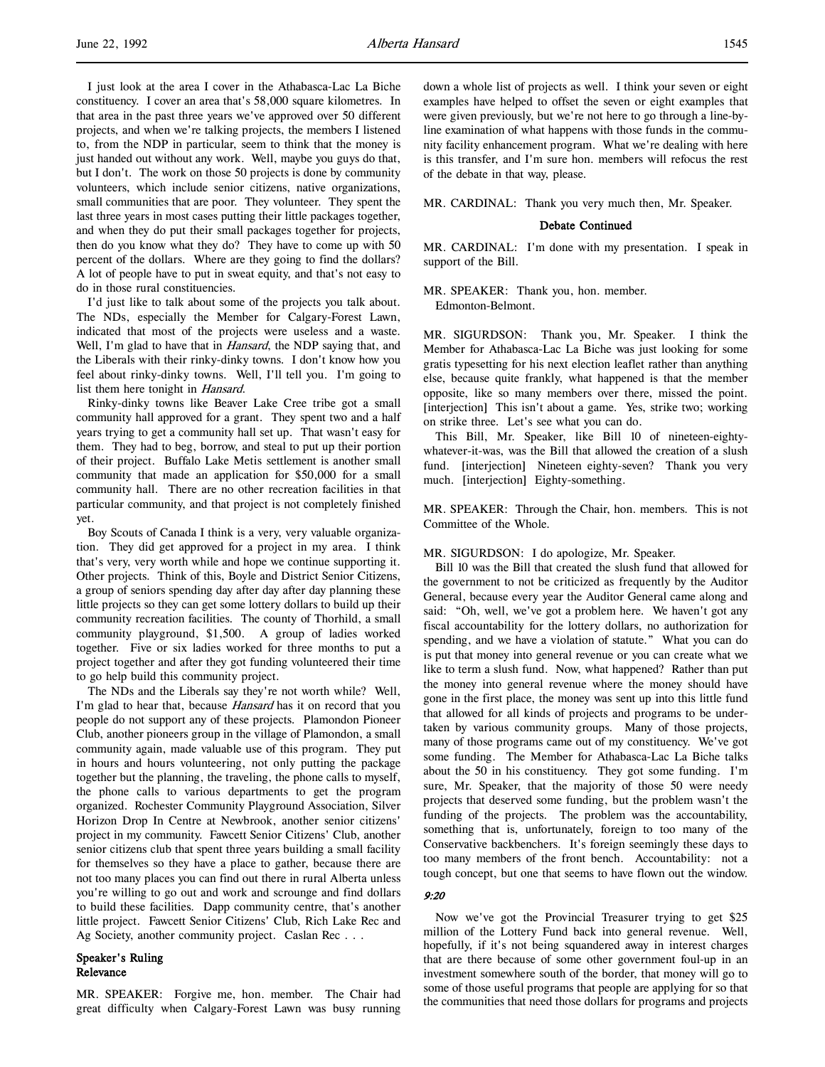I just look at the area I cover in the Athabasca-Lac La Biche constituency. I cover an area that's 58,000 square kilometres. In that area in the past three years we've approved over 50 different projects, and when we're talking projects, the members I listened to, from the NDP in particular, seem to think that the money is just handed out without any work. Well, maybe you guys do that, but I don't. The work on those 50 projects is done by community volunteers, which include senior citizens, native organizations, small communities that are poor. They volunteer. They spent the last three years in most cases putting their little packages together, and when they do put their small packages together for projects, then do you know what they do? They have to come up with 50 percent of the dollars. Where are they going to find the dollars? A lot of people have to put in sweat equity, and that's not easy to do in those rural constituencies.

I'd just like to talk about some of the projects you talk about. The NDs, especially the Member for Calgary-Forest Lawn, indicated that most of the projects were useless and a waste. Well, I'm glad to have that in *Hansard*, the NDP saying that, and the Liberals with their rinky-dinky towns. I don't know how you feel about rinky-dinky towns. Well, I'll tell you. I'm going to list them here tonight in Hansard.

Rinky-dinky towns like Beaver Lake Cree tribe got a small community hall approved for a grant. They spent two and a half years trying to get a community hall set up. That wasn't easy for them. They had to beg, borrow, and steal to put up their portion of their project. Buffalo Lake Metis settlement is another small community that made an application for \$50,000 for a small community hall. There are no other recreation facilities in that particular community, and that project is not completely finished yet.

Boy Scouts of Canada I think is a very, very valuable organization. They did get approved for a project in my area. I think that's very, very worth while and hope we continue supporting it. Other projects. Think of this, Boyle and District Senior Citizens, a group of seniors spending day after day after day planning these little projects so they can get some lottery dollars to build up their community recreation facilities. The county of Thorhild, a small community playground, \$1,500. A group of ladies worked together. Five or six ladies worked for three months to put a project together and after they got funding volunteered their time to go help build this community project.

The NDs and the Liberals say they're not worth while? Well, I'm glad to hear that, because Hansard has it on record that you people do not support any of these projects. Plamondon Pioneer Club, another pioneers group in the village of Plamondon, a small community again, made valuable use of this program. They put in hours and hours volunteering, not only putting the package together but the planning, the traveling, the phone calls to myself, the phone calls to various departments to get the program organized. Rochester Community Playground Association, Silver Horizon Drop In Centre at Newbrook, another senior citizens' project in my community. Fawcett Senior Citizens' Club, another senior citizens club that spent three years building a small facility for themselves so they have a place to gather, because there are not too many places you can find out there in rural Alberta unless you're willing to go out and work and scrounge and find dollars to build these facilities. Dapp community centre, that's another little project. Fawcett Senior Citizens' Club, Rich Lake Rec and Ag Society, another community project. Caslan Rec . . .

## Speaker's Ruling Relevance

MR. SPEAKER: Forgive me, hon. member. The Chair had great difficulty when Calgary-Forest Lawn was busy running down a whole list of projects as well. I think your seven or eight examples have helped to offset the seven or eight examples that were given previously, but we're not here to go through a line-byline examination of what happens with those funds in the community facility enhancement program. What we're dealing with here is this transfer, and I'm sure hon. members will refocus the rest of the debate in that way, please.

MR. CARDINAL: Thank you very much then, Mr. Speaker.

#### Debate Continued

MR. CARDINAL: I'm done with my presentation. I speak in support of the Bill.

MR. SPEAKER: Thank you, hon. member. Edmonton-Belmont.

MR. SIGURDSON: Thank you, Mr. Speaker. I think the Member for Athabasca-Lac La Biche was just looking for some gratis typesetting for his next election leaflet rather than anything else, because quite frankly, what happened is that the member opposite, like so many members over there, missed the point. [interjection] This isn't about a game. Yes, strike two; working on strike three. Let's see what you can do.

This Bill, Mr. Speaker, like Bill 10 of nineteen-eightywhatever-it-was, was the Bill that allowed the creation of a slush fund. [interjection] Nineteen eighty-seven? Thank you very much. [interjection] Eighty-something.

MR. SPEAKER: Through the Chair, hon. members. This is not Committee of the Whole.

#### MR. SIGURDSON: I do apologize, Mr. Speaker.

Bill 10 was the Bill that created the slush fund that allowed for the government to not be criticized as frequently by the Auditor General, because every year the Auditor General came along and said: "Oh, well, we've got a problem here. We haven't got any fiscal accountability for the lottery dollars, no authorization for spending, and we have a violation of statute." What you can do is put that money into general revenue or you can create what we like to term a slush fund. Now, what happened? Rather than put the money into general revenue where the money should have gone in the first place, the money was sent up into this little fund that allowed for all kinds of projects and programs to be undertaken by various community groups. Many of those projects, many of those programs came out of my constituency. We've got some funding. The Member for Athabasca-Lac La Biche talks about the 50 in his constituency. They got some funding. I'm sure, Mr. Speaker, that the majority of those 50 were needy projects that deserved some funding, but the problem wasn't the funding of the projects. The problem was the accountability, something that is, unfortunately, foreign to too many of the Conservative backbenchers. It's foreign seemingly these days to too many members of the front bench. Accountability: not a tough concept, but one that seems to have flown out the window.

## 9:20

Now we've got the Provincial Treasurer trying to get \$25 million of the Lottery Fund back into general revenue. Well, hopefully, if it's not being squandered away in interest charges that are there because of some other government foul-up in an investment somewhere south of the border, that money will go to some of those useful programs that people are applying for so that the communities that need those dollars for programs and projects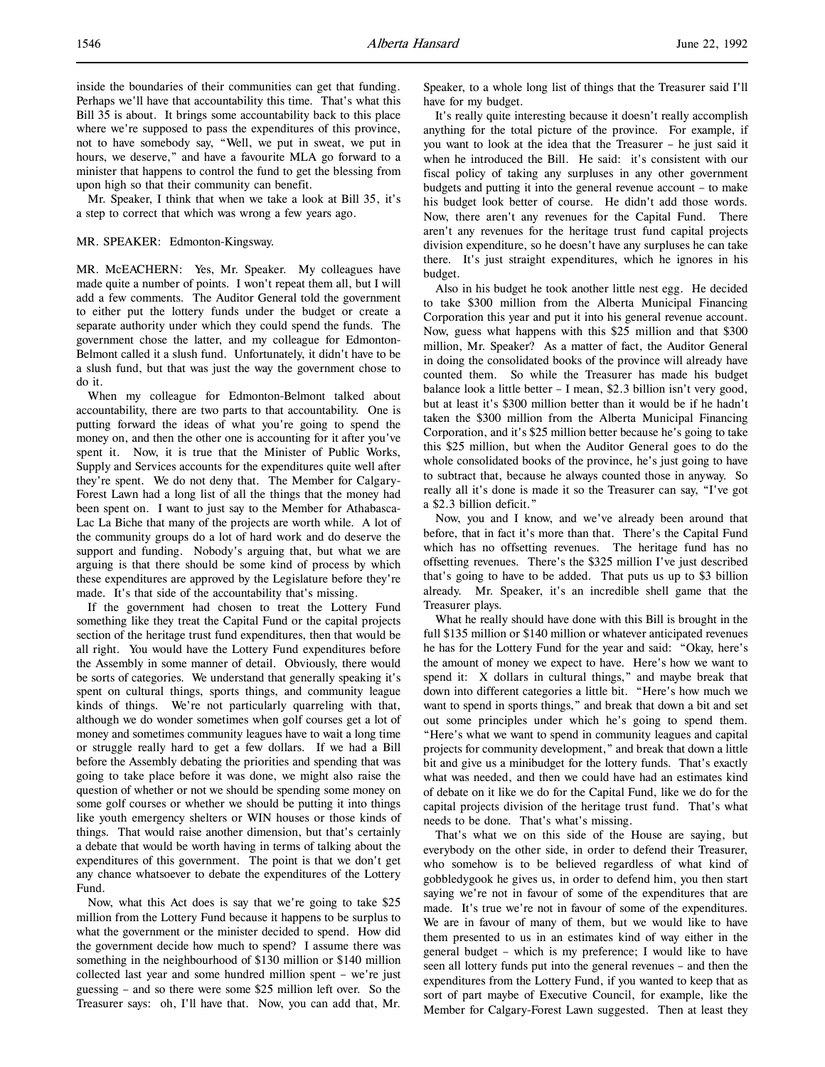inside the boundaries of their communities can get that funding. Perhaps we'll have that accountability this time. That's what this Bill 35 is about. It brings some accountability back to this place where we're supposed to pass the expenditures of this province, not to have somebody say, "Well, we put in sweat, we put in hours, we deserve," and have a favourite MLA go forward to a minister that happens to control the fund to get the blessing from upon high so that their community can benefit.

Mr. Speaker, I think that when we take a look at Bill 35, it's a step to correct that which was wrong a few years ago.

#### MR. SPEAKER: Edmonton-Kingsway.

MR. McEACHERN: Yes, Mr. Speaker. My colleagues have made quite a number of points. I won't repeat them all, but I will add a few comments. The Auditor General told the government to either put the lottery funds under the budget or create a separate authority under which they could spend the funds. The government chose the latter, and my colleague for Edmonton-Belmont called it a slush fund. Unfortunately, it didn't have to be a slush fund, but that was just the way the government chose to do it.

When my colleague for Edmonton-Belmont talked about accountability, there are two parts to that accountability. One is putting forward the ideas of what you're going to spend the money on, and then the other one is accounting for it after you've spent it. Now, it is true that the Minister of Public Works, Supply and Services accounts for the expenditures quite well after they're spent. We do not deny that. The Member for Calgary-Forest Lawn had a long list of all the things that the money had been spent on. I want to just say to the Member for Athabasca-Lac La Biche that many of the projects are worth while. A lot of the community groups do a lot of hard work and do deserve the support and funding. Nobody's arguing that, but what we are arguing is that there should be some kind of process by which these expenditures are approved by the Legislature before they're made. It's that side of the accountability that's missing.

If the government had chosen to treat the Lottery Fund something like they treat the Capital Fund or the capital projects section of the heritage trust fund expenditures, then that would be all right. You would have the Lottery Fund expenditures before the Assembly in some manner of detail. Obviously, there would be sorts of categories. We understand that generally speaking it's spent on cultural things, sports things, and community league kinds of things. We're not particularly quarreling with that, although we do wonder sometimes when golf courses get a lot of money and sometimes community leagues have to wait a long time or struggle really hard to get a few dollars. If we had a Bill before the Assembly debating the priorities and spending that was going to take place before it was done, we might also raise the question of whether or not we should be spending some money on some golf courses or whether we should be putting it into things like youth emergency shelters or WIN houses or those kinds of things. That would raise another dimension, but that's certainly a debate that would be worth having in terms of talking about the expenditures of this government. The point is that we don't get any chance whatsoever to debate the expenditures of the Lottery Fund.

Now, what this Act does is say that we're going to take \$25 million from the Lottery Fund because it happens to be surplus to what the government or the minister decided to spend. How did the government decide how much to spend? I assume there was something in the neighbourhood of \$130 million or \$140 million collected last year and some hundred million spent – we're just guessing – and so there were some \$25 million left over. So the Treasurer says: oh, I'll have that. Now, you can add that, Mr.

Speaker, to a whole long list of things that the Treasurer said I'll have for my budget.

It's really quite interesting because it doesn't really accomplish anything for the total picture of the province. For example, if you want to look at the idea that the Treasurer – he just said it when he introduced the Bill. He said: it's consistent with our fiscal policy of taking any surpluses in any other government budgets and putting it into the general revenue account – to make his budget look better of course. He didn't add those words. Now, there aren't any revenues for the Capital Fund. There aren't any revenues for the heritage trust fund capital projects division expenditure, so he doesn't have any surpluses he can take there. It's just straight expenditures, which he ignores in his budget.

Also in his budget he took another little nest egg. He decided to take \$300 million from the Alberta Municipal Financing Corporation this year and put it into his general revenue account. Now, guess what happens with this \$25 million and that \$300 million, Mr. Speaker? As a matter of fact, the Auditor General in doing the consolidated books of the province will already have counted them. So while the Treasurer has made his budget balance look a little better – I mean, \$2.3 billion isn't very good, but at least it's \$300 million better than it would be if he hadn't taken the \$300 million from the Alberta Municipal Financing Corporation, and it's \$25 million better because he's going to take this \$25 million, but when the Auditor General goes to do the whole consolidated books of the province, he's just going to have to subtract that, because he always counted those in anyway. So really all it's done is made it so the Treasurer can say, "I've got a \$2.3 billion deficit."

Now, you and I know, and we've already been around that before, that in fact it's more than that. There's the Capital Fund which has no offsetting revenues. The heritage fund has no offsetting revenues. There's the \$325 million I've just described that's going to have to be added. That puts us up to \$3 billion already. Mr. Speaker, it's an incredible shell game that the Treasurer plays.

What he really should have done with this Bill is brought in the full \$135 million or \$140 million or whatever anticipated revenues he has for the Lottery Fund for the year and said: "Okay, here's the amount of money we expect to have. Here's how we want to spend it: X dollars in cultural things," and maybe break that down into different categories a little bit. "Here's how much we want to spend in sports things," and break that down a bit and set out some principles under which he's going to spend them. "Here's what we want to spend in community leagues and capital projects for community development," and break that down a little bit and give us a minibudget for the lottery funds. That's exactly what was needed, and then we could have had an estimates kind of debate on it like we do for the Capital Fund, like we do for the capital projects division of the heritage trust fund. That's what needs to be done. That's what's missing.

That's what we on this side of the House are saying, but everybody on the other side, in order to defend their Treasurer, who somehow is to be believed regardless of what kind of gobbledygook he gives us, in order to defend him, you then start saying we're not in favour of some of the expenditures that are made. It's true we're not in favour of some of the expenditures. We are in favour of many of them, but we would like to have them presented to us in an estimates kind of way either in the general budget – which is my preference; I would like to have seen all lottery funds put into the general revenues – and then the expenditures from the Lottery Fund, if you wanted to keep that as sort of part maybe of Executive Council, for example, like the Member for Calgary-Forest Lawn suggested. Then at least they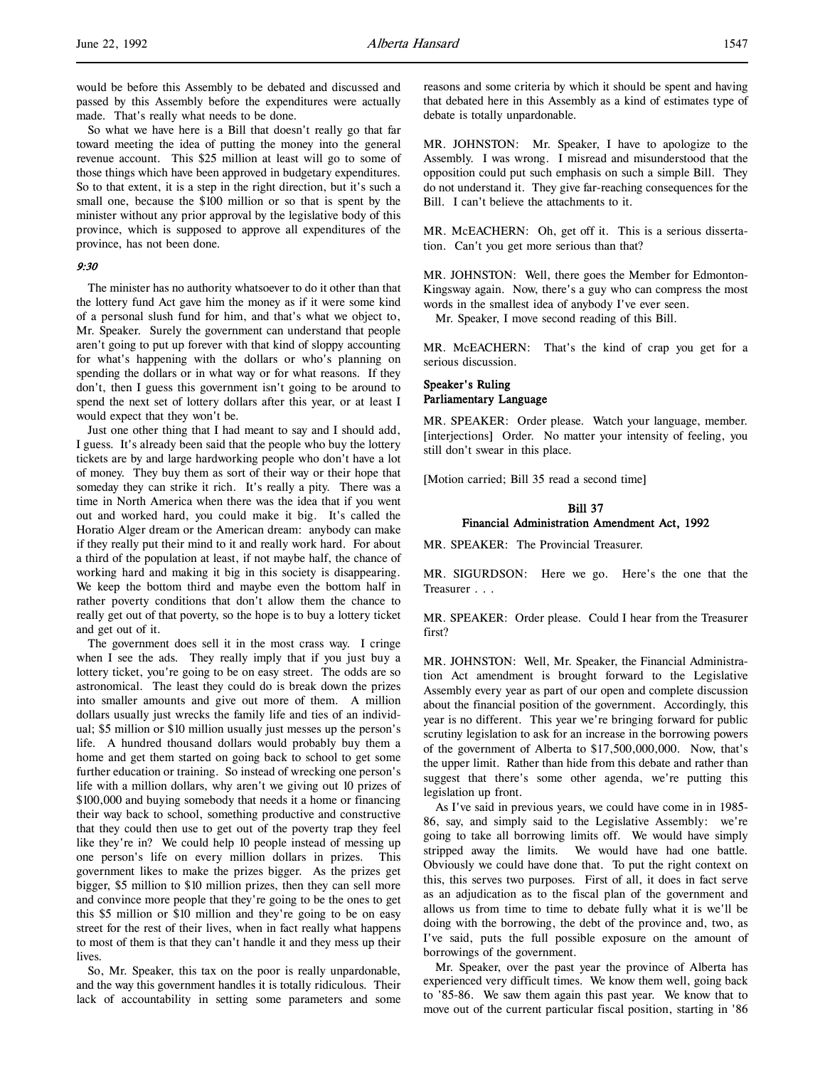would be before this Assembly to be debated and discussed and passed by this Assembly before the expenditures were actually made. That's really what needs to be done.

So what we have here is a Bill that doesn't really go that far toward meeting the idea of putting the money into the general revenue account. This \$25 million at least will go to some of those things which have been approved in budgetary expenditures. So to that extent, it is a step in the right direction, but it's such a small one, because the \$100 million or so that is spent by the minister without any prior approval by the legislative body of this province, which is supposed to approve all expenditures of the province, has not been done.

# 9:30

The minister has no authority whatsoever to do it other than that the lottery fund Act gave him the money as if it were some kind of a personal slush fund for him, and that's what we object to, Mr. Speaker. Surely the government can understand that people aren't going to put up forever with that kind of sloppy accounting for what's happening with the dollars or who's planning on spending the dollars or in what way or for what reasons. If they don't, then I guess this government isn't going to be around to spend the next set of lottery dollars after this year, or at least I would expect that they won't be.

Just one other thing that I had meant to say and I should add, I guess. It's already been said that the people who buy the lottery tickets are by and large hardworking people who don't have a lot of money. They buy them as sort of their way or their hope that someday they can strike it rich. It's really a pity. There was a time in North America when there was the idea that if you went out and worked hard, you could make it big. It's called the Horatio Alger dream or the American dream: anybody can make if they really put their mind to it and really work hard. For about a third of the population at least, if not maybe half, the chance of working hard and making it big in this society is disappearing. We keep the bottom third and maybe even the bottom half in rather poverty conditions that don't allow them the chance to really get out of that poverty, so the hope is to buy a lottery ticket and get out of it.

The government does sell it in the most crass way. I cringe when I see the ads. They really imply that if you just buy a lottery ticket, you're going to be on easy street. The odds are so astronomical. The least they could do is break down the prizes into smaller amounts and give out more of them. A million dollars usually just wrecks the family life and ties of an individual; \$5 million or \$10 million usually just messes up the person's life. A hundred thousand dollars would probably buy them a home and get them started on going back to school to get some further education or training. So instead of wrecking one person's life with a million dollars, why aren't we giving out 10 prizes of \$100,000 and buying somebody that needs it a home or financing their way back to school, something productive and constructive that they could then use to get out of the poverty trap they feel like they're in? We could help 10 people instead of messing up one person's life on every million dollars in prizes. This government likes to make the prizes bigger. As the prizes get bigger, \$5 million to \$10 million prizes, then they can sell more and convince more people that they're going to be the ones to get this \$5 million or \$10 million and they're going to be on easy street for the rest of their lives, when in fact really what happens to most of them is that they can't handle it and they mess up their lives.

So, Mr. Speaker, this tax on the poor is really unpardonable, and the way this government handles it is totally ridiculous. Their lack of accountability in setting some parameters and some reasons and some criteria by which it should be spent and having that debated here in this Assembly as a kind of estimates type of debate is totally unpardonable.

MR. JOHNSTON: Mr. Speaker, I have to apologize to the Assembly. I was wrong. I misread and misunderstood that the opposition could put such emphasis on such a simple Bill. They do not understand it. They give far-reaching consequences for the Bill. I can't believe the attachments to it.

MR. McEACHERN: Oh, get off it. This is a serious dissertation. Can't you get more serious than that?

MR. JOHNSTON: Well, there goes the Member for Edmonton-Kingsway again. Now, there's a guy who can compress the most words in the smallest idea of anybody I've ever seen.

Mr. Speaker, I move second reading of this Bill.

MR. McEACHERN: That's the kind of crap you get for a serious discussion.

# Speaker's Ruling Parliamentary Language

MR. SPEAKER: Order please. Watch your language, member. [interjections] Order. No matter your intensity of feeling, you still don't swear in this place.

[Motion carried; Bill 35 read a second time]

# Bill 37

# Financial Administration Amendment Act, 1992

MR. SPEAKER: The Provincial Treasurer.

MR. SIGURDSON: Here we go. Here's the one that the Treasurer . . .

MR. SPEAKER: Order please. Could I hear from the Treasurer first?

MR. JOHNSTON: Well, Mr. Speaker, the Financial Administration Act amendment is brought forward to the Legislative Assembly every year as part of our open and complete discussion about the financial position of the government. Accordingly, this year is no different. This year we're bringing forward for public scrutiny legislation to ask for an increase in the borrowing powers of the government of Alberta to \$17,500,000,000. Now, that's the upper limit. Rather than hide from this debate and rather than suggest that there's some other agenda, we're putting this legislation up front.

As I've said in previous years, we could have come in in 1985- 86, say, and simply said to the Legislative Assembly: we're going to take all borrowing limits off. We would have simply stripped away the limits. We would have had one battle. Obviously we could have done that. To put the right context on this, this serves two purposes. First of all, it does in fact serve as an adjudication as to the fiscal plan of the government and allows us from time to time to debate fully what it is we'll be doing with the borrowing, the debt of the province and, two, as I've said, puts the full possible exposure on the amount of borrowings of the government.

Mr. Speaker, over the past year the province of Alberta has experienced very difficult times. We know them well, going back to '85-86. We saw them again this past year. We know that to move out of the current particular fiscal position, starting in '86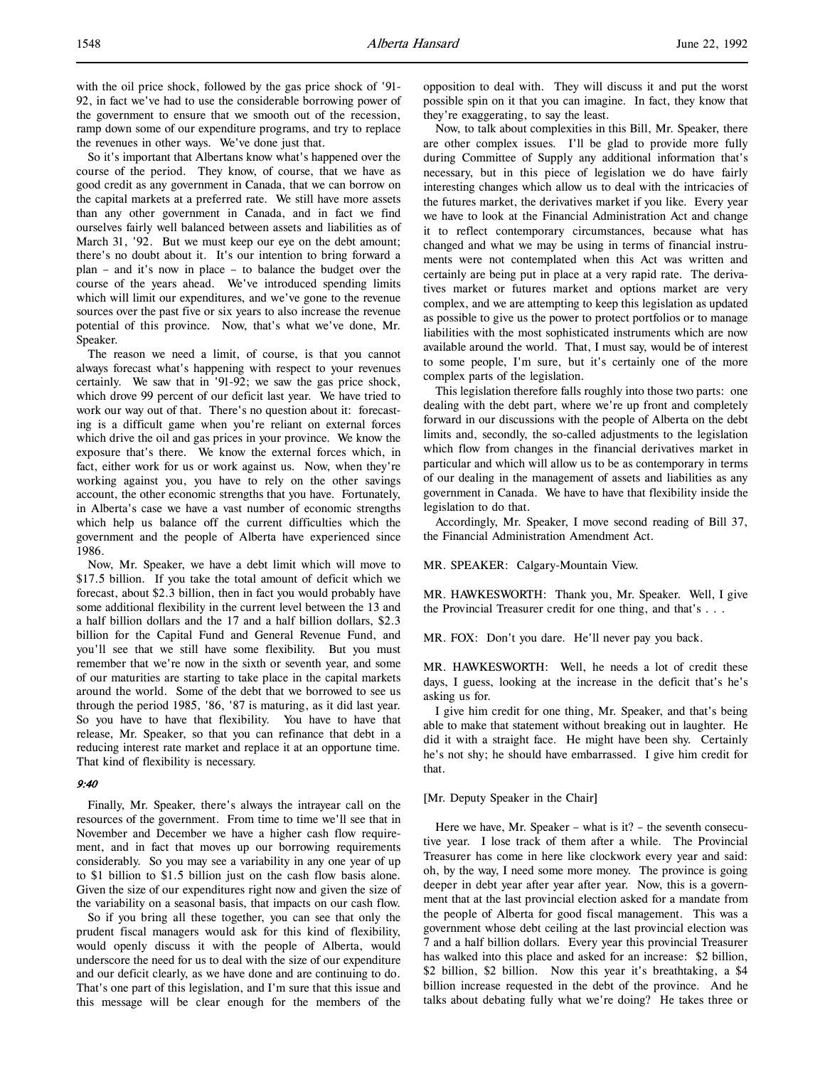with the oil price shock, followed by the gas price shock of '91- 92, in fact we've had to use the considerable borrowing power of the government to ensure that we smooth out of the recession, ramp down some of our expenditure programs, and try to replace the revenues in other ways. We've done just that.

So it's important that Albertans know what's happened over the course of the period. They know, of course, that we have as good credit as any government in Canada, that we can borrow on the capital markets at a preferred rate. We still have more assets than any other government in Canada, and in fact we find ourselves fairly well balanced between assets and liabilities as of March 31, '92. But we must keep our eye on the debt amount; there's no doubt about it. It's our intention to bring forward a plan – and it's now in place – to balance the budget over the course of the years ahead. We've introduced spending limits which will limit our expenditures, and we've gone to the revenue sources over the past five or six years to also increase the revenue potential of this province. Now, that's what we've done, Mr. Speaker.

The reason we need a limit, of course, is that you cannot always forecast what's happening with respect to your revenues certainly. We saw that in '91-92; we saw the gas price shock, which drove 99 percent of our deficit last year. We have tried to work our way out of that. There's no question about it: forecasting is a difficult game when you're reliant on external forces which drive the oil and gas prices in your province. We know the exposure that's there. We know the external forces which, in fact, either work for us or work against us. Now, when they're working against you, you have to rely on the other savings account, the other economic strengths that you have. Fortunately, in Alberta's case we have a vast number of economic strengths which help us balance off the current difficulties which the government and the people of Alberta have experienced since 1986.

Now, Mr. Speaker, we have a debt limit which will move to \$17.5 billion. If you take the total amount of deficit which we forecast, about \$2.3 billion, then in fact you would probably have some additional flexibility in the current level between the 13 and a half billion dollars and the 17 and a half billion dollars, \$2.3 billion for the Capital Fund and General Revenue Fund, and you'll see that we still have some flexibility. But you must remember that we're now in the sixth or seventh year, and some of our maturities are starting to take place in the capital markets around the world. Some of the debt that we borrowed to see us through the period 1985, '86, '87 is maturing, as it did last year. So you have to have that flexibility. You have to have that release, Mr. Speaker, so that you can refinance that debt in a reducing interest rate market and replace it at an opportune time. That kind of flexibility is necessary.

#### 9:40

Finally, Mr. Speaker, there's always the intrayear call on the resources of the government. From time to time we'll see that in November and December we have a higher cash flow requirement, and in fact that moves up our borrowing requirements considerably. So you may see a variability in any one year of up to \$1 billion to \$1.5 billion just on the cash flow basis alone. Given the size of our expenditures right now and given the size of the variability on a seasonal basis, that impacts on our cash flow.

So if you bring all these together, you can see that only the prudent fiscal managers would ask for this kind of flexibility, would openly discuss it with the people of Alberta, would underscore the need for us to deal with the size of our expenditure and our deficit clearly, as we have done and are continuing to do. That's one part of this legislation, and I'm sure that this issue and this message will be clear enough for the members of the opposition to deal with. They will discuss it and put the worst possible spin on it that you can imagine. In fact, they know that they're exaggerating, to say the least.

Now, to talk about complexities in this Bill, Mr. Speaker, there are other complex issues. I'll be glad to provide more fully during Committee of Supply any additional information that's necessary, but in this piece of legislation we do have fairly interesting changes which allow us to deal with the intricacies of the futures market, the derivatives market if you like. Every year we have to look at the Financial Administration Act and change it to reflect contemporary circumstances, because what has changed and what we may be using in terms of financial instruments were not contemplated when this Act was written and certainly are being put in place at a very rapid rate. The derivatives market or futures market and options market are very complex, and we are attempting to keep this legislation as updated as possible to give us the power to protect portfolios or to manage liabilities with the most sophisticated instruments which are now available around the world. That, I must say, would be of interest to some people, I'm sure, but it's certainly one of the more complex parts of the legislation.

This legislation therefore falls roughly into those two parts: one dealing with the debt part, where we're up front and completely forward in our discussions with the people of Alberta on the debt limits and, secondly, the so-called adjustments to the legislation which flow from changes in the financial derivatives market in particular and which will allow us to be as contemporary in terms of our dealing in the management of assets and liabilities as any government in Canada. We have to have that flexibility inside the legislation to do that.

Accordingly, Mr. Speaker, I move second reading of Bill 37, the Financial Administration Amendment Act.

#### MR. SPEAKER: Calgary-Mountain View.

MR. HAWKESWORTH: Thank you, Mr. Speaker. Well, I give the Provincial Treasurer credit for one thing, and that's . . .

MR. FOX: Don't you dare. He'll never pay you back.

MR. HAWKESWORTH: Well, he needs a lot of credit these days, I guess, looking at the increase in the deficit that's he's asking us for.

I give him credit for one thing, Mr. Speaker, and that's being able to make that statement without breaking out in laughter. He did it with a straight face. He might have been shy. Certainly he's not shy; he should have embarrassed. I give him credit for that.

#### [Mr. Deputy Speaker in the Chair]

Here we have, Mr. Speaker – what is it? – the seventh consecutive year. I lose track of them after a while. The Provincial Treasurer has come in here like clockwork every year and said: oh, by the way, I need some more money. The province is going deeper in debt year after year after year. Now, this is a government that at the last provincial election asked for a mandate from the people of Alberta for good fiscal management. This was a government whose debt ceiling at the last provincial election was 7 and a half billion dollars. Every year this provincial Treasurer has walked into this place and asked for an increase: \$2 billion, \$2 billion, \$2 billion. Now this year it's breathtaking, a \$4 billion increase requested in the debt of the province. And he talks about debating fully what we're doing? He takes three or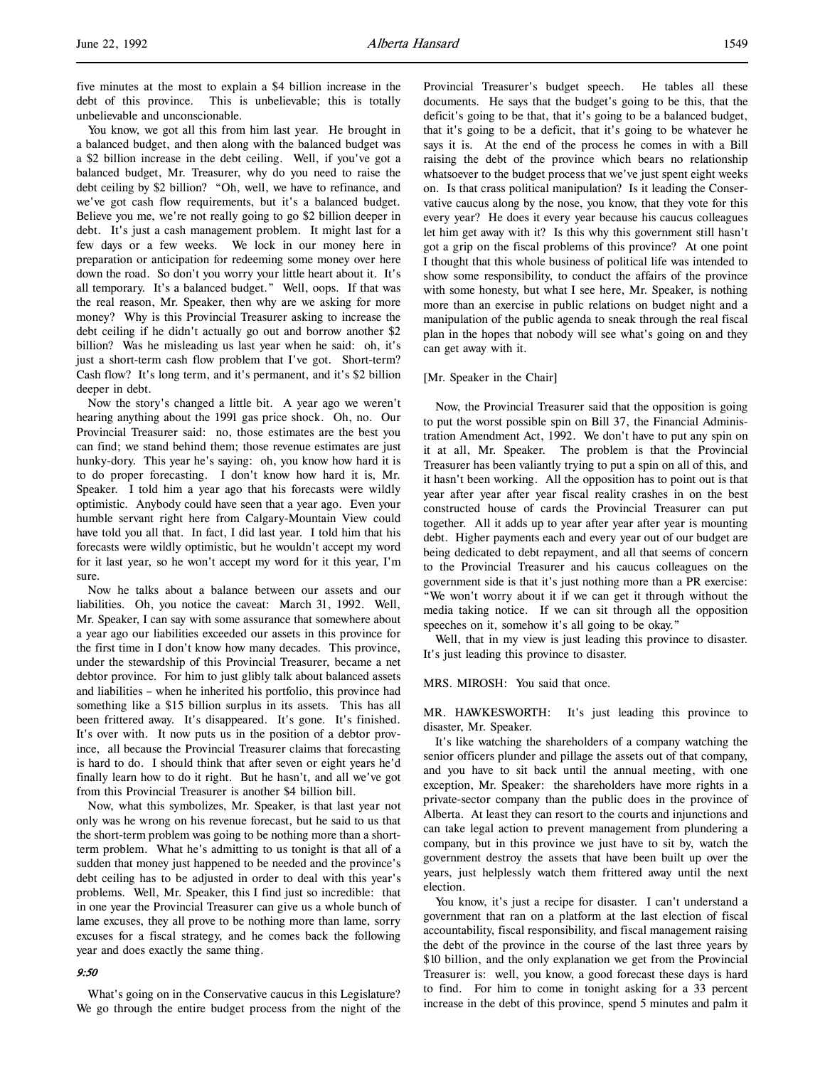five minutes at the most to explain a \$4 billion increase in the debt of this province. This is unbelievable; this is totally unbelievable and unconscionable.

You know, we got all this from him last year. He brought in a balanced budget, and then along with the balanced budget was a \$2 billion increase in the debt ceiling. Well, if you've got a balanced budget, Mr. Treasurer, why do you need to raise the debt ceiling by \$2 billion? "Oh, well, we have to refinance, and we've got cash flow requirements, but it's a balanced budget. Believe you me, we're not really going to go \$2 billion deeper in debt. It's just a cash management problem. It might last for a few days or a few weeks. We lock in our money here in preparation or anticipation for redeeming some money over here down the road. So don't you worry your little heart about it. It's all temporary. It's a balanced budget." Well, oops. If that was the real reason, Mr. Speaker, then why are we asking for more money? Why is this Provincial Treasurer asking to increase the debt ceiling if he didn't actually go out and borrow another \$2 billion? Was he misleading us last year when he said: oh, it's just a short-term cash flow problem that I've got. Short-term? Cash flow? It's long term, and it's permanent, and it's \$2 billion deeper in debt.

Now the story's changed a little bit. A year ago we weren't hearing anything about the 1991 gas price shock. Oh, no. Our Provincial Treasurer said: no, those estimates are the best you can find; we stand behind them; those revenue estimates are just hunky-dory. This year he's saying: oh, you know how hard it is to do proper forecasting. I don't know how hard it is, Mr. Speaker. I told him a year ago that his forecasts were wildly optimistic. Anybody could have seen that a year ago. Even your humble servant right here from Calgary-Mountain View could have told you all that. In fact, I did last year. I told him that his forecasts were wildly optimistic, but he wouldn't accept my word for it last year, so he won't accept my word for it this year, I'm sure.

Now he talks about a balance between our assets and our liabilities. Oh, you notice the caveat: March 31, 1992. Well, Mr. Speaker, I can say with some assurance that somewhere about a year ago our liabilities exceeded our assets in this province for the first time in I don't know how many decades. This province, under the stewardship of this Provincial Treasurer, became a net debtor province. For him to just glibly talk about balanced assets and liabilities – when he inherited his portfolio, this province had something like a \$15 billion surplus in its assets. This has all been frittered away. It's disappeared. It's gone. It's finished. It's over with. It now puts us in the position of a debtor province, all because the Provincial Treasurer claims that forecasting is hard to do. I should think that after seven or eight years he'd finally learn how to do it right. But he hasn't, and all we've got from this Provincial Treasurer is another \$4 billion bill.

Now, what this symbolizes, Mr. Speaker, is that last year not only was he wrong on his revenue forecast, but he said to us that the short-term problem was going to be nothing more than a shortterm problem. What he's admitting to us tonight is that all of a sudden that money just happened to be needed and the province's debt ceiling has to be adjusted in order to deal with this year's problems. Well, Mr. Speaker, this I find just so incredible: that in one year the Provincial Treasurer can give us a whole bunch of lame excuses, they all prove to be nothing more than lame, sorry excuses for a fiscal strategy, and he comes back the following year and does exactly the same thing.

#### 9:50

What's going on in the Conservative caucus in this Legislature? We go through the entire budget process from the night of the Provincial Treasurer's budget speech. He tables all these documents. He says that the budget's going to be this, that the deficit's going to be that, that it's going to be a balanced budget, that it's going to be a deficit, that it's going to be whatever he says it is. At the end of the process he comes in with a Bill raising the debt of the province which bears no relationship whatsoever to the budget process that we've just spent eight weeks on. Is that crass political manipulation? Is it leading the Conservative caucus along by the nose, you know, that they vote for this every year? He does it every year because his caucus colleagues let him get away with it? Is this why this government still hasn't got a grip on the fiscal problems of this province? At one point I thought that this whole business of political life was intended to show some responsibility, to conduct the affairs of the province with some honesty, but what I see here, Mr. Speaker, is nothing more than an exercise in public relations on budget night and a manipulation of the public agenda to sneak through the real fiscal plan in the hopes that nobody will see what's going on and they can get away with it.

#### [Mr. Speaker in the Chair]

Now, the Provincial Treasurer said that the opposition is going to put the worst possible spin on Bill 37, the Financial Administration Amendment Act, 1992. We don't have to put any spin on it at all, Mr. Speaker. The problem is that the Provincial Treasurer has been valiantly trying to put a spin on all of this, and it hasn't been working. All the opposition has to point out is that year after year after year fiscal reality crashes in on the best constructed house of cards the Provincial Treasurer can put together. All it adds up to year after year after year is mounting debt. Higher payments each and every year out of our budget are being dedicated to debt repayment, and all that seems of concern to the Provincial Treasurer and his caucus colleagues on the government side is that it's just nothing more than a PR exercise: "We won't worry about it if we can get it through without the media taking notice. If we can sit through all the opposition speeches on it, somehow it's all going to be okay."

Well, that in my view is just leading this province to disaster. It's just leading this province to disaster.

## MRS. MIROSH: You said that once.

MR. HAWKESWORTH: It's just leading this province to disaster, Mr. Speaker.

It's like watching the shareholders of a company watching the senior officers plunder and pillage the assets out of that company, and you have to sit back until the annual meeting, with one exception, Mr. Speaker: the shareholders have more rights in a private-sector company than the public does in the province of Alberta. At least they can resort to the courts and injunctions and can take legal action to prevent management from plundering a company, but in this province we just have to sit by, watch the government destroy the assets that have been built up over the years, just helplessly watch them frittered away until the next election.

You know, it's just a recipe for disaster. I can't understand a government that ran on a platform at the last election of fiscal accountability, fiscal responsibility, and fiscal management raising the debt of the province in the course of the last three years by \$10 billion, and the only explanation we get from the Provincial Treasurer is: well, you know, a good forecast these days is hard to find. For him to come in tonight asking for a 33 percent increase in the debt of this province, spend 5 minutes and palm it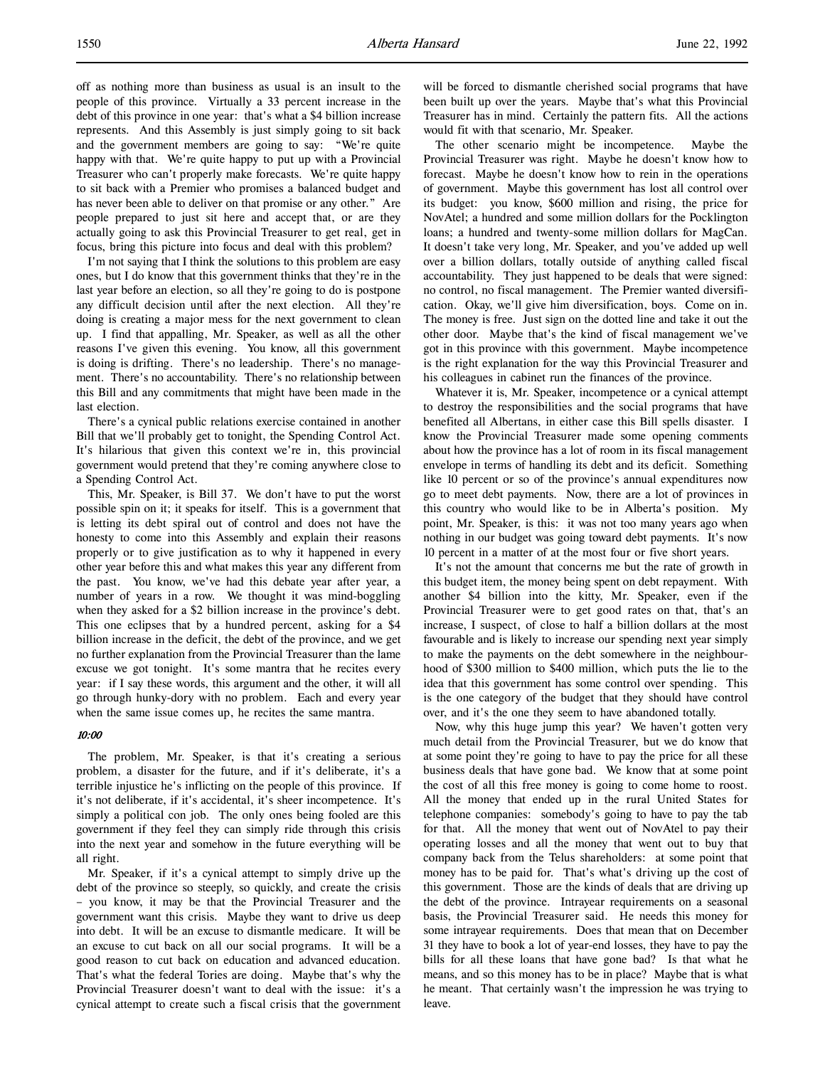off as nothing more than business as usual is an insult to the people of this province. Virtually a 33 percent increase in the debt of this province in one year: that's what a \$4 billion increase represents. And this Assembly is just simply going to sit back and the government members are going to say: "We're quite happy with that. We're quite happy to put up with a Provincial Treasurer who can't properly make forecasts. We're quite happy to sit back with a Premier who promises a balanced budget and has never been able to deliver on that promise or any other." Are people prepared to just sit here and accept that, or are they actually going to ask this Provincial Treasurer to get real, get in focus, bring this picture into focus and deal with this problem?

I'm not saying that I think the solutions to this problem are easy ones, but I do know that this government thinks that they're in the last year before an election, so all they're going to do is postpone any difficult decision until after the next election. All they're doing is creating a major mess for the next government to clean up. I find that appalling, Mr. Speaker, as well as all the other reasons I've given this evening. You know, all this government is doing is drifting. There's no leadership. There's no management. There's no accountability. There's no relationship between this Bill and any commitments that might have been made in the last election.

There's a cynical public relations exercise contained in another Bill that we'll probably get to tonight, the Spending Control Act. It's hilarious that given this context we're in, this provincial government would pretend that they're coming anywhere close to a Spending Control Act.

This, Mr. Speaker, is Bill 37. We don't have to put the worst possible spin on it; it speaks for itself. This is a government that is letting its debt spiral out of control and does not have the honesty to come into this Assembly and explain their reasons properly or to give justification as to why it happened in every other year before this and what makes this year any different from the past. You know, we've had this debate year after year, a number of years in a row. We thought it was mind-boggling when they asked for a \$2 billion increase in the province's debt. This one eclipses that by a hundred percent, asking for a \$4 billion increase in the deficit, the debt of the province, and we get no further explanation from the Provincial Treasurer than the lame excuse we got tonight. It's some mantra that he recites every year: if I say these words, this argument and the other, it will all go through hunky-dory with no problem. Each and every year when the same issue comes up, he recites the same mantra.

#### 10:00

The problem, Mr. Speaker, is that it's creating a serious problem, a disaster for the future, and if it's deliberate, it's a terrible injustice he's inflicting on the people of this province. If it's not deliberate, if it's accidental, it's sheer incompetence. It's simply a political con job. The only ones being fooled are this government if they feel they can simply ride through this crisis into the next year and somehow in the future everything will be all right.

Mr. Speaker, if it's a cynical attempt to simply drive up the debt of the province so steeply, so quickly, and create the crisis – you know, it may be that the Provincial Treasurer and the government want this crisis. Maybe they want to drive us deep into debt. It will be an excuse to dismantle medicare. It will be an excuse to cut back on all our social programs. It will be a good reason to cut back on education and advanced education. That's what the federal Tories are doing. Maybe that's why the Provincial Treasurer doesn't want to deal with the issue: it's a cynical attempt to create such a fiscal crisis that the government

will be forced to dismantle cherished social programs that have been built up over the years. Maybe that's what this Provincial Treasurer has in mind. Certainly the pattern fits. All the actions would fit with that scenario, Mr. Speaker.

The other scenario might be incompetence. Maybe the Provincial Treasurer was right. Maybe he doesn't know how to forecast. Maybe he doesn't know how to rein in the operations of government. Maybe this government has lost all control over its budget: you know, \$600 million and rising, the price for NovAtel; a hundred and some million dollars for the Pocklington loans; a hundred and twenty-some million dollars for MagCan. It doesn't take very long, Mr. Speaker, and you've added up well over a billion dollars, totally outside of anything called fiscal accountability. They just happened to be deals that were signed: no control, no fiscal management. The Premier wanted diversification. Okay, we'll give him diversification, boys. Come on in. The money is free. Just sign on the dotted line and take it out the other door. Maybe that's the kind of fiscal management we've got in this province with this government. Maybe incompetence is the right explanation for the way this Provincial Treasurer and his colleagues in cabinet run the finances of the province.

Whatever it is, Mr. Speaker, incompetence or a cynical attempt to destroy the responsibilities and the social programs that have benefited all Albertans, in either case this Bill spells disaster. I know the Provincial Treasurer made some opening comments about how the province has a lot of room in its fiscal management envelope in terms of handling its debt and its deficit. Something like 10 percent or so of the province's annual expenditures now go to meet debt payments. Now, there are a lot of provinces in this country who would like to be in Alberta's position. My point, Mr. Speaker, is this: it was not too many years ago when nothing in our budget was going toward debt payments. It's now 10 percent in a matter of at the most four or five short years.

It's not the amount that concerns me but the rate of growth in this budget item, the money being spent on debt repayment. With another \$4 billion into the kitty, Mr. Speaker, even if the Provincial Treasurer were to get good rates on that, that's an increase, I suspect, of close to half a billion dollars at the most favourable and is likely to increase our spending next year simply to make the payments on the debt somewhere in the neighbourhood of \$300 million to \$400 million, which puts the lie to the idea that this government has some control over spending. This is the one category of the budget that they should have control over, and it's the one they seem to have abandoned totally.

Now, why this huge jump this year? We haven't gotten very much detail from the Provincial Treasurer, but we do know that at some point they're going to have to pay the price for all these business deals that have gone bad. We know that at some point the cost of all this free money is going to come home to roost. All the money that ended up in the rural United States for telephone companies: somebody's going to have to pay the tab for that. All the money that went out of NovAtel to pay their operating losses and all the money that went out to buy that company back from the Telus shareholders: at some point that money has to be paid for. That's what's driving up the cost of this government. Those are the kinds of deals that are driving up the debt of the province. Intrayear requirements on a seasonal basis, the Provincial Treasurer said. He needs this money for some intrayear requirements. Does that mean that on December 31 they have to book a lot of year-end losses, they have to pay the bills for all these loans that have gone bad? Is that what he means, and so this money has to be in place? Maybe that is what he meant. That certainly wasn't the impression he was trying to leave.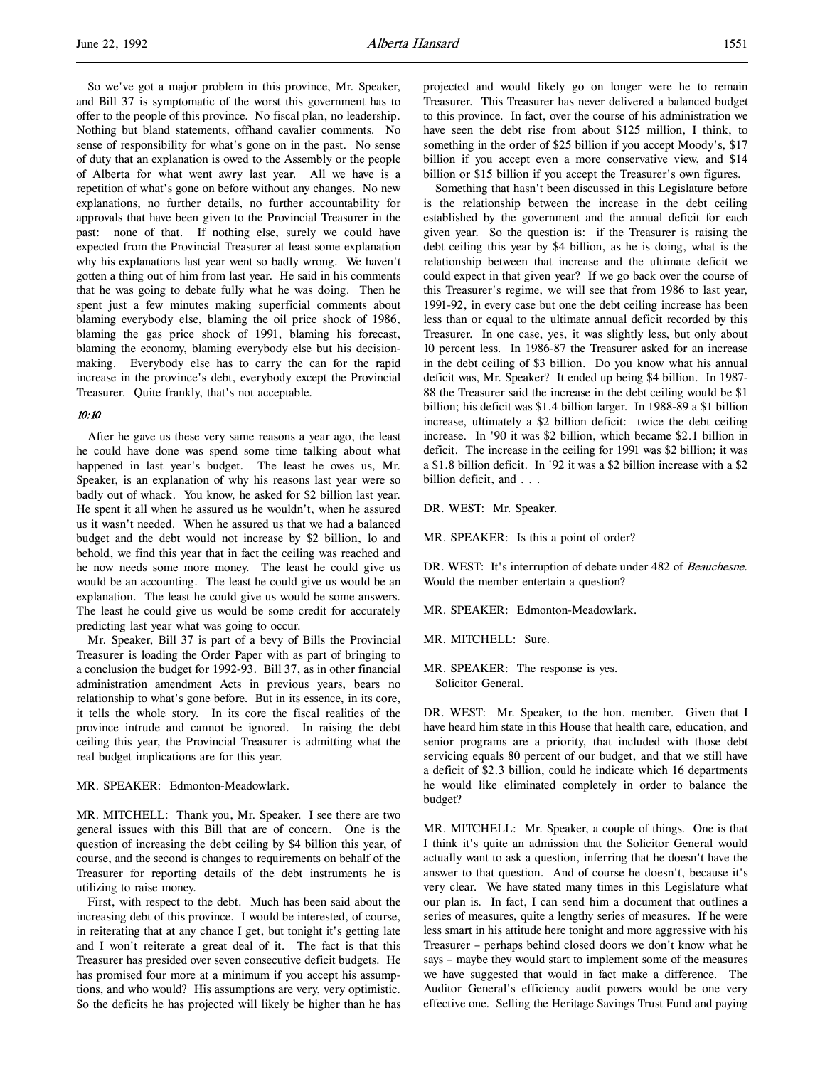So we've got a major problem in this province, Mr. Speaker, and Bill 37 is symptomatic of the worst this government has to offer to the people of this province. No fiscal plan, no leadership. Nothing but bland statements, offhand cavalier comments. No sense of responsibility for what's gone on in the past. No sense of duty that an explanation is owed to the Assembly or the people of Alberta for what went awry last year. All we have is a repetition of what's gone on before without any changes. No new explanations, no further details, no further accountability for approvals that have been given to the Provincial Treasurer in the past: none of that. If nothing else, surely we could have expected from the Provincial Treasurer at least some explanation why his explanations last year went so badly wrong. We haven't gotten a thing out of him from last year. He said in his comments that he was going to debate fully what he was doing. Then he spent just a few minutes making superficial comments about blaming everybody else, blaming the oil price shock of 1986, blaming the gas price shock of 1991, blaming his forecast, blaming the economy, blaming everybody else but his decisionmaking. Everybody else has to carry the can for the rapid increase in the province's debt, everybody except the Provincial Treasurer. Quite frankly, that's not acceptable.

#### 10:10

After he gave us these very same reasons a year ago, the least he could have done was spend some time talking about what happened in last year's budget. The least he owes us, Mr. Speaker, is an explanation of why his reasons last year were so badly out of whack. You know, he asked for \$2 billion last year. He spent it all when he assured us he wouldn't, when he assured us it wasn't needed. When he assured us that we had a balanced budget and the debt would not increase by \$2 billion, lo and behold, we find this year that in fact the ceiling was reached and he now needs some more money. The least he could give us would be an accounting. The least he could give us would be an explanation. The least he could give us would be some answers. The least he could give us would be some credit for accurately predicting last year what was going to occur.

Mr. Speaker, Bill 37 is part of a bevy of Bills the Provincial Treasurer is loading the Order Paper with as part of bringing to a conclusion the budget for 1992-93. Bill 37, as in other financial administration amendment Acts in previous years, bears no relationship to what's gone before. But in its essence, in its core, it tells the whole story. In its core the fiscal realities of the province intrude and cannot be ignored. In raising the debt ceiling this year, the Provincial Treasurer is admitting what the real budget implications are for this year.

MR. SPEAKER: Edmonton-Meadowlark.

MR. MITCHELL: Thank you, Mr. Speaker. I see there are two general issues with this Bill that are of concern. One is the question of increasing the debt ceiling by \$4 billion this year, of course, and the second is changes to requirements on behalf of the Treasurer for reporting details of the debt instruments he is utilizing to raise money.

First, with respect to the debt. Much has been said about the increasing debt of this province. I would be interested, of course, in reiterating that at any chance I get, but tonight it's getting late and I won't reiterate a great deal of it. The fact is that this Treasurer has presided over seven consecutive deficit budgets. He has promised four more at a minimum if you accept his assumptions, and who would? His assumptions are very, very optimistic. So the deficits he has projected will likely be higher than he has projected and would likely go on longer were he to remain Treasurer. This Treasurer has never delivered a balanced budget to this province. In fact, over the course of his administration we have seen the debt rise from about \$125 million, I think, to something in the order of \$25 billion if you accept Moody's, \$17 billion if you accept even a more conservative view, and \$14 billion or \$15 billion if you accept the Treasurer's own figures.

Something that hasn't been discussed in this Legislature before is the relationship between the increase in the debt ceiling established by the government and the annual deficit for each given year. So the question is: if the Treasurer is raising the debt ceiling this year by \$4 billion, as he is doing, what is the relationship between that increase and the ultimate deficit we could expect in that given year? If we go back over the course of this Treasurer's regime, we will see that from 1986 to last year, 1991-92, in every case but one the debt ceiling increase has been less than or equal to the ultimate annual deficit recorded by this Treasurer. In one case, yes, it was slightly less, but only about 10 percent less. In 1986-87 the Treasurer asked for an increase in the debt ceiling of \$3 billion. Do you know what his annual deficit was, Mr. Speaker? It ended up being \$4 billion. In 1987- 88 the Treasurer said the increase in the debt ceiling would be \$1 billion; his deficit was \$1.4 billion larger. In 1988-89 a \$1 billion increase, ultimately a \$2 billion deficit: twice the debt ceiling increase. In '90 it was \$2 billion, which became \$2.1 billion in deficit. The increase in the ceiling for 1991 was \$2 billion; it was a \$1.8 billion deficit. In '92 it was a \$2 billion increase with a \$2 billion deficit, and . . .

DR. WEST: Mr. Speaker.

MR. SPEAKER: Is this a point of order?

DR. WEST: It's interruption of debate under 482 of Beauchesne. Would the member entertain a question?

MR. SPEAKER: Edmonton-Meadowlark.

MR. MITCHELL: Sure.

MR. SPEAKER: The response is yes. Solicitor General.

DR. WEST: Mr. Speaker, to the hon. member. Given that I have heard him state in this House that health care, education, and senior programs are a priority, that included with those debt servicing equals 80 percent of our budget, and that we still have a deficit of \$2.3 billion, could he indicate which 16 departments he would like eliminated completely in order to balance the budget?

MR. MITCHELL: Mr. Speaker, a couple of things. One is that I think it's quite an admission that the Solicitor General would actually want to ask a question, inferring that he doesn't have the answer to that question. And of course he doesn't, because it's very clear. We have stated many times in this Legislature what our plan is. In fact, I can send him a document that outlines a series of measures, quite a lengthy series of measures. If he were less smart in his attitude here tonight and more aggressive with his Treasurer – perhaps behind closed doors we don't know what he says – maybe they would start to implement some of the measures we have suggested that would in fact make a difference. The Auditor General's efficiency audit powers would be one very effective one. Selling the Heritage Savings Trust Fund and paying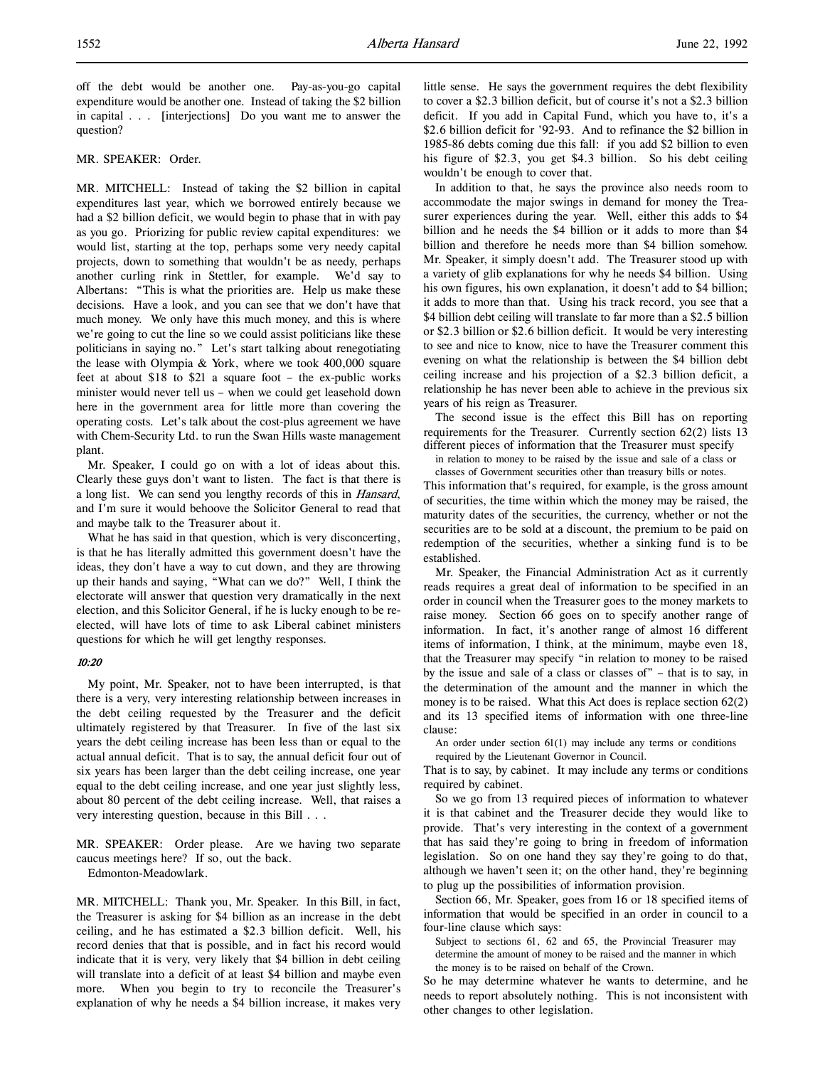off the debt would be another one. Pay-as-you-go capital expenditure would be another one. Instead of taking the \$2 billion in capital . . . [interjections] Do you want me to answer the question?

#### MR. SPEAKER: Order.

MR. MITCHELL: Instead of taking the \$2 billion in capital expenditures last year, which we borrowed entirely because we had a \$2 billion deficit, we would begin to phase that in with pay as you go. Priorizing for public review capital expenditures: we would list, starting at the top, perhaps some very needy capital projects, down to something that wouldn't be as needy, perhaps another curling rink in Stettler, for example. We'd say to Albertans: "This is what the priorities are. Help us make these decisions. Have a look, and you can see that we don't have that much money. We only have this much money, and this is where we're going to cut the line so we could assist politicians like these politicians in saying no." Let's start talking about renegotiating the lease with Olympia & York, where we took 400,000 square feet at about \$18 to \$21 a square foot – the ex-public works minister would never tell us – when we could get leasehold down here in the government area for little more than covering the operating costs. Let's talk about the cost-plus agreement we have with Chem-Security Ltd. to run the Swan Hills waste management plant.

Mr. Speaker, I could go on with a lot of ideas about this. Clearly these guys don't want to listen. The fact is that there is a long list. We can send you lengthy records of this in Hansard, and I'm sure it would behoove the Solicitor General to read that and maybe talk to the Treasurer about it.

What he has said in that question, which is very disconcerting, is that he has literally admitted this government doesn't have the ideas, they don't have a way to cut down, and they are throwing up their hands and saying, "What can we do?" Well, I think the electorate will answer that question very dramatically in the next election, and this Solicitor General, if he is lucky enough to be reelected, will have lots of time to ask Liberal cabinet ministers questions for which he will get lengthy responses.

#### 10:20

My point, Mr. Speaker, not to have been interrupted, is that there is a very, very interesting relationship between increases in the debt ceiling requested by the Treasurer and the deficit ultimately registered by that Treasurer. In five of the last six years the debt ceiling increase has been less than or equal to the actual annual deficit. That is to say, the annual deficit four out of six years has been larger than the debt ceiling increase, one year equal to the debt ceiling increase, and one year just slightly less, about 80 percent of the debt ceiling increase. Well, that raises a very interesting question, because in this Bill . . .

MR. SPEAKER: Order please. Are we having two separate caucus meetings here? If so, out the back.

Edmonton-Meadowlark.

MR. MITCHELL: Thank you, Mr. Speaker. In this Bill, in fact, the Treasurer is asking for \$4 billion as an increase in the debt ceiling, and he has estimated a \$2.3 billion deficit. Well, his record denies that that is possible, and in fact his record would indicate that it is very, very likely that \$4 billion in debt ceiling will translate into a deficit of at least \$4 billion and maybe even more. When you begin to try to reconcile the Treasurer's explanation of why he needs a \$4 billion increase, it makes very

little sense. He says the government requires the debt flexibility to cover a \$2.3 billion deficit, but of course it's not a \$2.3 billion deficit. If you add in Capital Fund, which you have to, it's a \$2.6 billion deficit for '92-93. And to refinance the \$2 billion in 1985-86 debts coming due this fall: if you add \$2 billion to even his figure of \$2.3, you get \$4.3 billion. So his debt ceiling wouldn't be enough to cover that.

In addition to that, he says the province also needs room to accommodate the major swings in demand for money the Treasurer experiences during the year. Well, either this adds to \$4 billion and he needs the \$4 billion or it adds to more than \$4 billion and therefore he needs more than \$4 billion somehow. Mr. Speaker, it simply doesn't add. The Treasurer stood up with a variety of glib explanations for why he needs \$4 billion. Using his own figures, his own explanation, it doesn't add to \$4 billion; it adds to more than that. Using his track record, you see that a \$4 billion debt ceiling will translate to far more than a \$2.5 billion or \$2.3 billion or \$2.6 billion deficit. It would be very interesting to see and nice to know, nice to have the Treasurer comment this evening on what the relationship is between the \$4 billion debt ceiling increase and his projection of a \$2.3 billion deficit, a relationship he has never been able to achieve in the previous six years of his reign as Treasurer.

The second issue is the effect this Bill has on reporting requirements for the Treasurer. Currently section 62(2) lists 13 different pieces of information that the Treasurer must specify

in relation to money to be raised by the issue and sale of a class or classes of Government securities other than treasury bills or notes.

This information that's required, for example, is the gross amount of securities, the time within which the money may be raised, the maturity dates of the securities, the currency, whether or not the securities are to be sold at a discount, the premium to be paid on redemption of the securities, whether a sinking fund is to be established.

Mr. Speaker, the Financial Administration Act as it currently reads requires a great deal of information to be specified in an order in council when the Treasurer goes to the money markets to raise money. Section 66 goes on to specify another range of information. In fact, it's another range of almost 16 different items of information, I think, at the minimum, maybe even 18, that the Treasurer may specify "in relation to money to be raised by the issue and sale of a class or classes of" – that is to say, in the determination of the amount and the manner in which the money is to be raised. What this Act does is replace section 62(2) and its 13 specified items of information with one three-line clause:

An order under section  $61(1)$  may include any terms or conditions required by the Lieutenant Governor in Council.

That is to say, by cabinet. It may include any terms or conditions required by cabinet.

So we go from 13 required pieces of information to whatever it is that cabinet and the Treasurer decide they would like to provide. That's very interesting in the context of a government that has said they're going to bring in freedom of information legislation. So on one hand they say they're going to do that, although we haven't seen it; on the other hand, they're beginning to plug up the possibilities of information provision.

Section 66, Mr. Speaker, goes from 16 or 18 specified items of information that would be specified in an order in council to a four-line clause which says:

Subject to sections 61, 62 and 65, the Provincial Treasurer may determine the amount of money to be raised and the manner in which the money is to be raised on behalf of the Crown.

So he may determine whatever he wants to determine, and he needs to report absolutely nothing. This is not inconsistent with other changes to other legislation.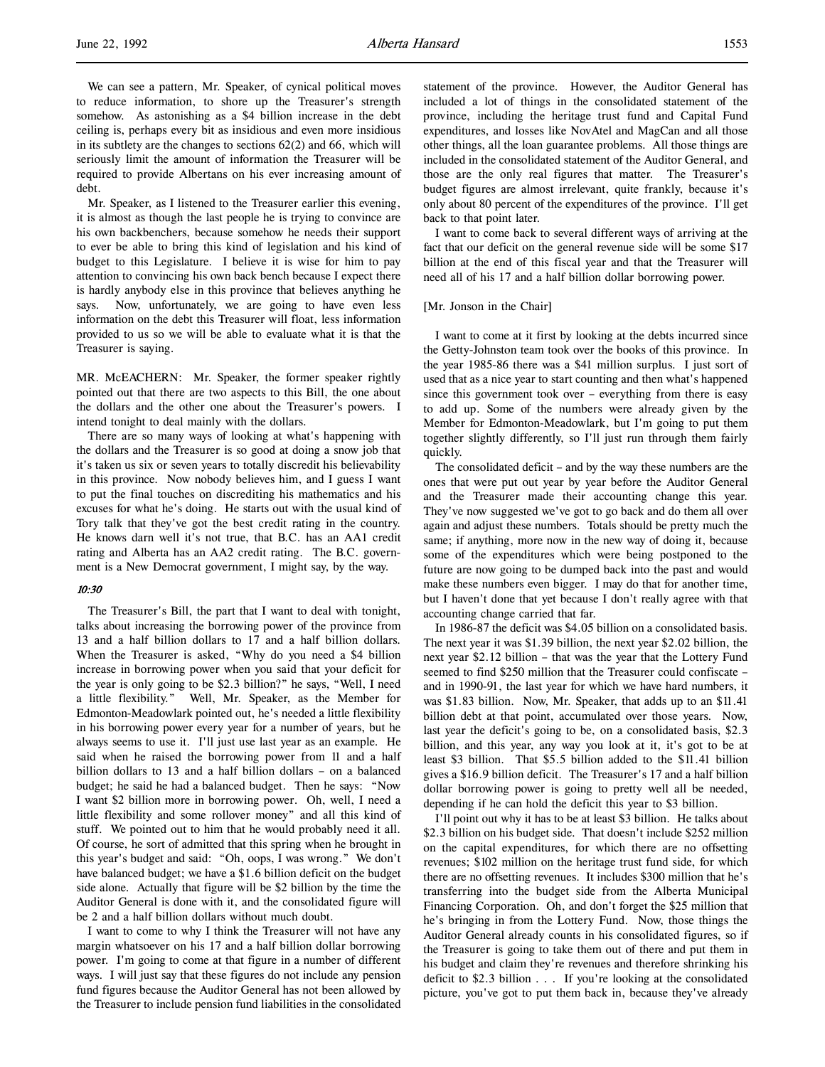We can see a pattern, Mr. Speaker, of cynical political moves to reduce information, to shore up the Treasurer's strength somehow. As astonishing as a \$4 billion increase in the debt ceiling is, perhaps every bit as insidious and even more insidious in its subtlety are the changes to sections  $62(2)$  and  $66$ , which will seriously limit the amount of information the Treasurer will be required to provide Albertans on his ever increasing amount of debt.

Mr. Speaker, as I listened to the Treasurer earlier this evening, it is almost as though the last people he is trying to convince are his own backbenchers, because somehow he needs their support to ever be able to bring this kind of legislation and his kind of budget to this Legislature. I believe it is wise for him to pay attention to convincing his own back bench because I expect there is hardly anybody else in this province that believes anything he says. Now, unfortunately, we are going to have even less information on the debt this Treasurer will float, less information provided to us so we will be able to evaluate what it is that the Treasurer is saying.

MR. McEACHERN: Mr. Speaker, the former speaker rightly pointed out that there are two aspects to this Bill, the one about the dollars and the other one about the Treasurer's powers. I intend tonight to deal mainly with the dollars.

There are so many ways of looking at what's happening with the dollars and the Treasurer is so good at doing a snow job that it's taken us six or seven years to totally discredit his believability in this province. Now nobody believes him, and I guess I want to put the final touches on discrediting his mathematics and his excuses for what he's doing. He starts out with the usual kind of Tory talk that they've got the best credit rating in the country. He knows darn well it's not true, that B.C. has an AA1 credit rating and Alberta has an AA2 credit rating. The B.C. government is a New Democrat government, I might say, by the way.

#### 10:30

The Treasurer's Bill, the part that I want to deal with tonight, talks about increasing the borrowing power of the province from 13 and a half billion dollars to 17 and a half billion dollars. When the Treasurer is asked, "Why do you need a \$4 billion increase in borrowing power when you said that your deficit for the year is only going to be \$2.3 billion?" he says, "Well, I need a little flexibility." Well, Mr. Speaker, as the Member for Edmonton-Meadowlark pointed out, he's needed a little flexibility in his borrowing power every year for a number of years, but he always seems to use it. I'll just use last year as an example. He said when he raised the borrowing power from 11 and a half billion dollars to 13 and a half billion dollars – on a balanced budget; he said he had a balanced budget. Then he says: "Now I want \$2 billion more in borrowing power. Oh, well, I need a little flexibility and some rollover money" and all this kind of stuff. We pointed out to him that he would probably need it all. Of course, he sort of admitted that this spring when he brought in this year's budget and said: "Oh, oops, I was wrong." We don't have balanced budget; we have a \$1.6 billion deficit on the budget side alone. Actually that figure will be \$2 billion by the time the Auditor General is done with it, and the consolidated figure will be 2 and a half billion dollars without much doubt.

I want to come to why I think the Treasurer will not have any margin whatsoever on his 17 and a half billion dollar borrowing power. I'm going to come at that figure in a number of different ways. I will just say that these figures do not include any pension fund figures because the Auditor General has not been allowed by the Treasurer to include pension fund liabilities in the consolidated

statement of the province. However, the Auditor General has included a lot of things in the consolidated statement of the province, including the heritage trust fund and Capital Fund expenditures, and losses like NovAtel and MagCan and all those other things, all the loan guarantee problems. All those things are included in the consolidated statement of the Auditor General, and those are the only real figures that matter. The Treasurer's budget figures are almost irrelevant, quite frankly, because it's only about 80 percent of the expenditures of the province. I'll get back to that point later.

I want to come back to several different ways of arriving at the fact that our deficit on the general revenue side will be some \$17 billion at the end of this fiscal year and that the Treasurer will need all of his 17 and a half billion dollar borrowing power.

#### [Mr. Jonson in the Chair]

I want to come at it first by looking at the debts incurred since the Getty-Johnston team took over the books of this province. In the year 1985-86 there was a \$41 million surplus. I just sort of used that as a nice year to start counting and then what's happened since this government took over – everything from there is easy to add up. Some of the numbers were already given by the Member for Edmonton-Meadowlark, but I'm going to put them together slightly differently, so I'll just run through them fairly quickly.

The consolidated deficit – and by the way these numbers are the ones that were put out year by year before the Auditor General and the Treasurer made their accounting change this year. They've now suggested we've got to go back and do them all over again and adjust these numbers. Totals should be pretty much the same; if anything, more now in the new way of doing it, because some of the expenditures which were being postponed to the future are now going to be dumped back into the past and would make these numbers even bigger. I may do that for another time, but I haven't done that yet because I don't really agree with that accounting change carried that far.

In 1986-87 the deficit was \$4.05 billion on a consolidated basis. The next year it was \$1.39 billion, the next year \$2.02 billion, the next year \$2.12 billion – that was the year that the Lottery Fund seemed to find \$250 million that the Treasurer could confiscate – and in 1990-91, the last year for which we have hard numbers, it was \$1.83 billion. Now, Mr. Speaker, that adds up to an \$11.41 billion debt at that point, accumulated over those years. Now, last year the deficit's going to be, on a consolidated basis, \$2.3 billion, and this year, any way you look at it, it's got to be at least \$3 billion. That \$5.5 billion added to the \$11.41 billion gives a \$16.9 billion deficit. The Treasurer's 17 and a half billion dollar borrowing power is going to pretty well all be needed, depending if he can hold the deficit this year to \$3 billion.

I'll point out why it has to be at least \$3 billion. He talks about \$2.3 billion on his budget side. That doesn't include \$252 million on the capital expenditures, for which there are no offsetting revenues; \$102 million on the heritage trust fund side, for which there are no offsetting revenues. It includes \$300 million that he's transferring into the budget side from the Alberta Municipal Financing Corporation. Oh, and don't forget the \$25 million that he's bringing in from the Lottery Fund. Now, those things the Auditor General already counts in his consolidated figures, so if the Treasurer is going to take them out of there and put them in his budget and claim they're revenues and therefore shrinking his deficit to \$2.3 billion . . . If you're looking at the consolidated picture, you've got to put them back in, because they've already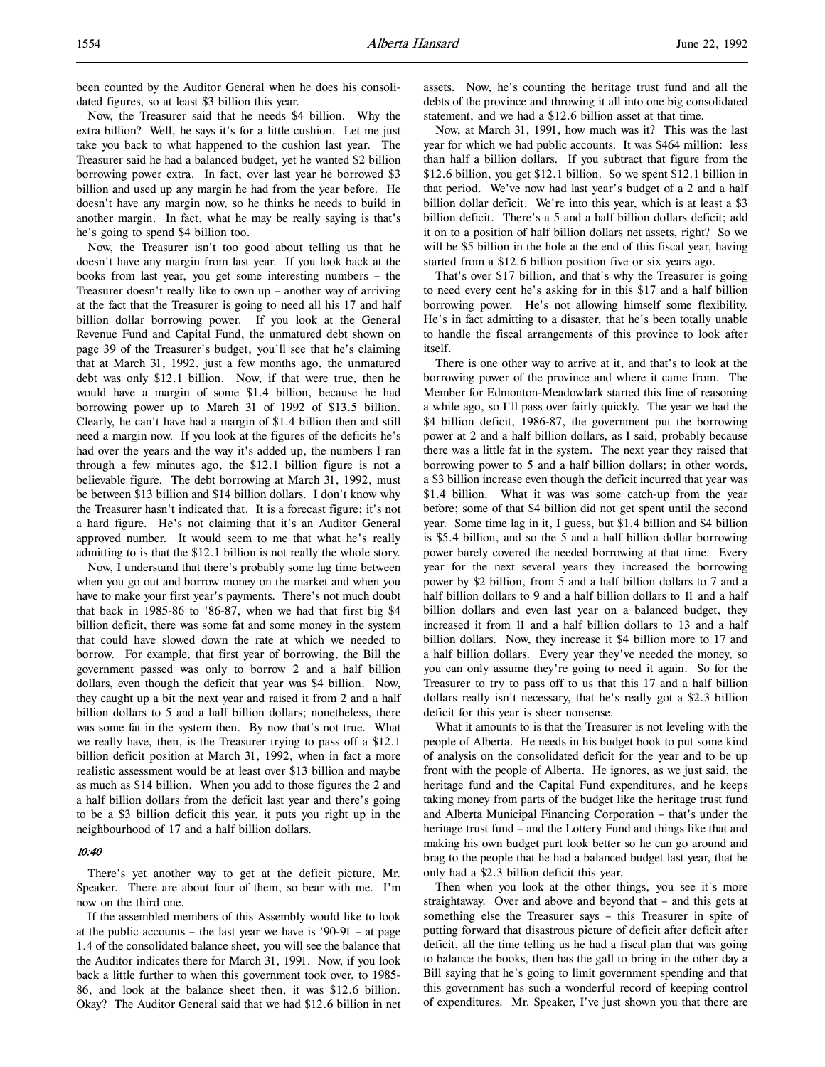been counted by the Auditor General when he does his consolidated figures, so at least \$3 billion this year.

Now, the Treasurer said that he needs \$4 billion. Why the extra billion? Well, he says it's for a little cushion. Let me just take you back to what happened to the cushion last year. The Treasurer said he had a balanced budget, yet he wanted \$2 billion borrowing power extra. In fact, over last year he borrowed \$3 billion and used up any margin he had from the year before. He doesn't have any margin now, so he thinks he needs to build in another margin. In fact, what he may be really saying is that's he's going to spend \$4 billion too.

Now, the Treasurer isn't too good about telling us that he doesn't have any margin from last year. If you look back at the books from last year, you get some interesting numbers – the Treasurer doesn't really like to own up – another way of arriving at the fact that the Treasurer is going to need all his 17 and half billion dollar borrowing power. If you look at the General Revenue Fund and Capital Fund, the unmatured debt shown on page 39 of the Treasurer's budget, you'll see that he's claiming that at March 31, 1992, just a few months ago, the unmatured debt was only \$12.1 billion. Now, if that were true, then he would have a margin of some \$1.4 billion, because he had borrowing power up to March 31 of 1992 of \$13.5 billion. Clearly, he can't have had a margin of \$1.4 billion then and still need a margin now. If you look at the figures of the deficits he's had over the years and the way it's added up, the numbers I ran through a few minutes ago, the \$12.1 billion figure is not a believable figure. The debt borrowing at March 31, 1992, must be between \$13 billion and \$14 billion dollars. I don't know why the Treasurer hasn't indicated that. It is a forecast figure; it's not a hard figure. He's not claiming that it's an Auditor General approved number. It would seem to me that what he's really admitting to is that the \$12.1 billion is not really the whole story.

Now, I understand that there's probably some lag time between when you go out and borrow money on the market and when you have to make your first year's payments. There's not much doubt that back in 1985-86 to '86-87, when we had that first big \$4 billion deficit, there was some fat and some money in the system that could have slowed down the rate at which we needed to borrow. For example, that first year of borrowing, the Bill the government passed was only to borrow 2 and a half billion dollars, even though the deficit that year was \$4 billion. Now, they caught up a bit the next year and raised it from 2 and a half billion dollars to 5 and a half billion dollars; nonetheless, there was some fat in the system then. By now that's not true. What we really have, then, is the Treasurer trying to pass off a \$12.1 billion deficit position at March 31, 1992, when in fact a more realistic assessment would be at least over \$13 billion and maybe as much as \$14 billion. When you add to those figures the 2 and a half billion dollars from the deficit last year and there's going to be a \$3 billion deficit this year, it puts you right up in the neighbourhood of 17 and a half billion dollars.

#### 10:40

There's yet another way to get at the deficit picture, Mr. Speaker. There are about four of them, so bear with me. I'm now on the third one.

If the assembled members of this Assembly would like to look at the public accounts – the last year we have is '90-91 – at page 1.4 of the consolidated balance sheet, you will see the balance that the Auditor indicates there for March 31, 1991. Now, if you look back a little further to when this government took over, to 1985- 86, and look at the balance sheet then, it was \$12.6 billion. Okay? The Auditor General said that we had \$12.6 billion in net

assets. Now, he's counting the heritage trust fund and all the debts of the province and throwing it all into one big consolidated statement, and we had a \$12.6 billion asset at that time.

Now, at March 31, 1991, how much was it? This was the last year for which we had public accounts. It was \$464 million: less than half a billion dollars. If you subtract that figure from the \$12.6 billion, you get \$12.1 billion. So we spent \$12.1 billion in that period. We've now had last year's budget of a 2 and a half billion dollar deficit. We're into this year, which is at least a \$3 billion deficit. There's a 5 and a half billion dollars deficit; add it on to a position of half billion dollars net assets, right? So we will be \$5 billion in the hole at the end of this fiscal year, having started from a \$12.6 billion position five or six years ago.

That's over \$17 billion, and that's why the Treasurer is going to need every cent he's asking for in this \$17 and a half billion borrowing power. He's not allowing himself some flexibility. He's in fact admitting to a disaster, that he's been totally unable to handle the fiscal arrangements of this province to look after itself.

There is one other way to arrive at it, and that's to look at the borrowing power of the province and where it came from. The Member for Edmonton-Meadowlark started this line of reasoning a while ago, so I'll pass over fairly quickly. The year we had the \$4 billion deficit, 1986-87, the government put the borrowing power at 2 and a half billion dollars, as I said, probably because there was a little fat in the system. The next year they raised that borrowing power to 5 and a half billion dollars; in other words, a \$3 billion increase even though the deficit incurred that year was \$1.4 billion. What it was was some catch-up from the year before; some of that \$4 billion did not get spent until the second year. Some time lag in it, I guess, but \$1.4 billion and \$4 billion is \$5.4 billion, and so the 5 and a half billion dollar borrowing power barely covered the needed borrowing at that time. Every year for the next several years they increased the borrowing power by \$2 billion, from 5 and a half billion dollars to 7 and a half billion dollars to 9 and a half billion dollars to 11 and a half billion dollars and even last year on a balanced budget, they increased it from 11 and a half billion dollars to 13 and a half billion dollars. Now, they increase it \$4 billion more to 17 and a half billion dollars. Every year they've needed the money, so you can only assume they're going to need it again. So for the Treasurer to try to pass off to us that this 17 and a half billion dollars really isn't necessary, that he's really got a \$2.3 billion deficit for this year is sheer nonsense.

What it amounts to is that the Treasurer is not leveling with the people of Alberta. He needs in his budget book to put some kind of analysis on the consolidated deficit for the year and to be up front with the people of Alberta. He ignores, as we just said, the heritage fund and the Capital Fund expenditures, and he keeps taking money from parts of the budget like the heritage trust fund and Alberta Municipal Financing Corporation – that's under the heritage trust fund – and the Lottery Fund and things like that and making his own budget part look better so he can go around and brag to the people that he had a balanced budget last year, that he only had a \$2.3 billion deficit this year.

Then when you look at the other things, you see it's more straightaway. Over and above and beyond that – and this gets at something else the Treasurer says – this Treasurer in spite of putting forward that disastrous picture of deficit after deficit after deficit, all the time telling us he had a fiscal plan that was going to balance the books, then has the gall to bring in the other day a Bill saying that he's going to limit government spending and that this government has such a wonderful record of keeping control of expenditures. Mr. Speaker, I've just shown you that there are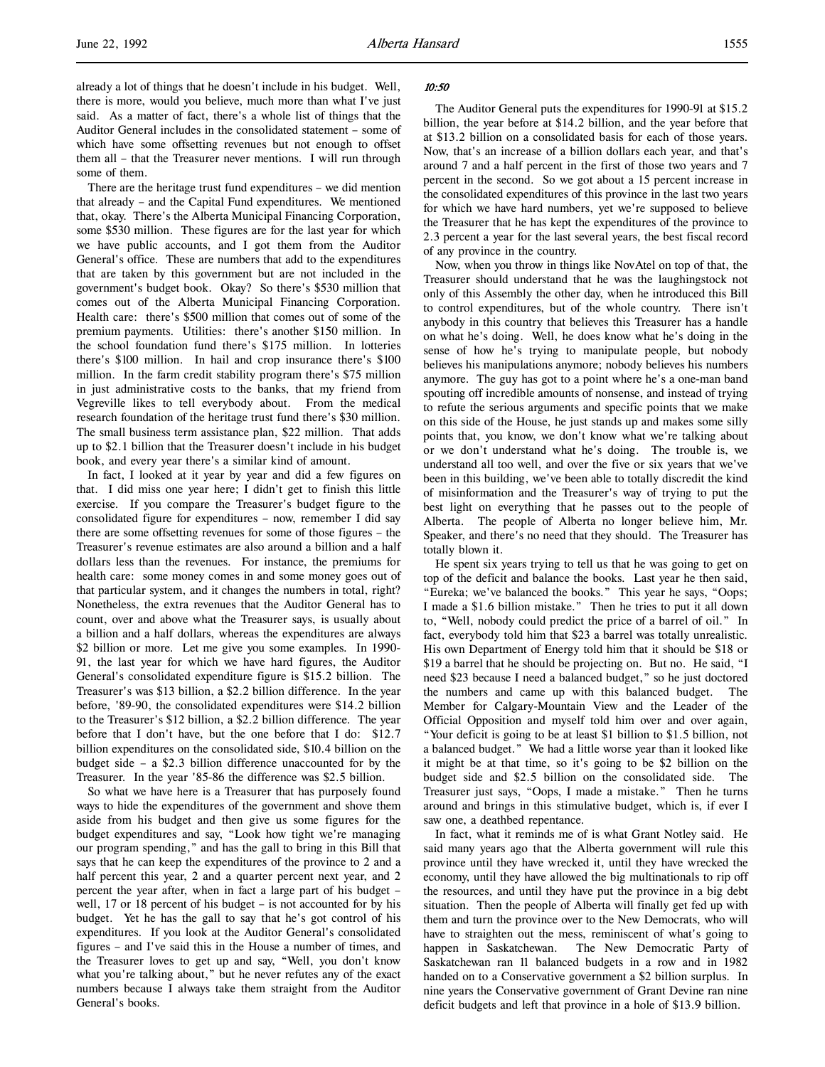already a lot of things that he doesn't include in his budget. Well, there is more, would you believe, much more than what I've just said. As a matter of fact, there's a whole list of things that the Auditor General includes in the consolidated statement – some of which have some offsetting revenues but not enough to offset them all – that the Treasurer never mentions. I will run through some of them.

There are the heritage trust fund expenditures – we did mention that already – and the Capital Fund expenditures. We mentioned that, okay. There's the Alberta Municipal Financing Corporation, some \$530 million. These figures are for the last year for which we have public accounts, and I got them from the Auditor General's office. These are numbers that add to the expenditures that are taken by this government but are not included in the government's budget book. Okay? So there's \$530 million that comes out of the Alberta Municipal Financing Corporation. Health care: there's \$500 million that comes out of some of the premium payments. Utilities: there's another \$150 million. In the school foundation fund there's \$175 million. In lotteries there's \$100 million. In hail and crop insurance there's \$100 million. In the farm credit stability program there's \$75 million in just administrative costs to the banks, that my friend from Vegreville likes to tell everybody about. From the medical research foundation of the heritage trust fund there's \$30 million. The small business term assistance plan, \$22 million. That adds up to \$2.1 billion that the Treasurer doesn't include in his budget book, and every year there's a similar kind of amount.

In fact, I looked at it year by year and did a few figures on that. I did miss one year here; I didn't get to finish this little exercise. If you compare the Treasurer's budget figure to the consolidated figure for expenditures – now, remember I did say there are some offsetting revenues for some of those figures – the Treasurer's revenue estimates are also around a billion and a half dollars less than the revenues. For instance, the premiums for health care: some money comes in and some money goes out of that particular system, and it changes the numbers in total, right? Nonetheless, the extra revenues that the Auditor General has to count, over and above what the Treasurer says, is usually about a billion and a half dollars, whereas the expenditures are always \$2 billion or more. Let me give you some examples. In 1990- 91, the last year for which we have hard figures, the Auditor General's consolidated expenditure figure is \$15.2 billion. The Treasurer's was \$13 billion, a \$2.2 billion difference. In the year before, '89-90, the consolidated expenditures were \$14.2 billion to the Treasurer's \$12 billion, a \$2.2 billion difference. The year before that I don't have, but the one before that I do: \$12.7 billion expenditures on the consolidated side, \$10.4 billion on the budget side – a \$2.3 billion difference unaccounted for by the Treasurer. In the year '85-86 the difference was \$2.5 billion.

So what we have here is a Treasurer that has purposely found ways to hide the expenditures of the government and shove them aside from his budget and then give us some figures for the budget expenditures and say, "Look how tight we're managing our program spending," and has the gall to bring in this Bill that says that he can keep the expenditures of the province to 2 and a half percent this year, 2 and a quarter percent next year, and 2 percent the year after, when in fact a large part of his budget – well, 17 or 18 percent of his budget – is not accounted for by his budget. Yet he has the gall to say that he's got control of his expenditures. If you look at the Auditor General's consolidated figures – and I've said this in the House a number of times, and the Treasurer loves to get up and say, "Well, you don't know what you're talking about," but he never refutes any of the exact numbers because I always take them straight from the Auditor General's books.

#### $10.50$

The Auditor General puts the expenditures for 1990-91 at \$15.2 billion, the year before at \$14.2 billion, and the year before that at \$13.2 billion on a consolidated basis for each of those years. Now, that's an increase of a billion dollars each year, and that's around 7 and a half percent in the first of those two years and 7 percent in the second. So we got about a 15 percent increase in the consolidated expenditures of this province in the last two years for which we have hard numbers, yet we're supposed to believe the Treasurer that he has kept the expenditures of the province to 2.3 percent a year for the last several years, the best fiscal record of any province in the country.

Now, when you throw in things like NovAtel on top of that, the Treasurer should understand that he was the laughingstock not only of this Assembly the other day, when he introduced this Bill to control expenditures, but of the whole country. There isn't anybody in this country that believes this Treasurer has a handle on what he's doing. Well, he does know what he's doing in the sense of how he's trying to manipulate people, but nobody believes his manipulations anymore; nobody believes his numbers anymore. The guy has got to a point where he's a one-man band spouting off incredible amounts of nonsense, and instead of trying to refute the serious arguments and specific points that we make on this side of the House, he just stands up and makes some silly points that, you know, we don't know what we're talking about or we don't understand what he's doing. The trouble is, we understand all too well, and over the five or six years that we've been in this building, we've been able to totally discredit the kind of misinformation and the Treasurer's way of trying to put the best light on everything that he passes out to the people of Alberta. The people of Alberta no longer believe him, Mr. Speaker, and there's no need that they should. The Treasurer has totally blown it.

He spent six years trying to tell us that he was going to get on top of the deficit and balance the books. Last year he then said, "Eureka; we've balanced the books." This year he says, "Oops; I made a \$1.6 billion mistake." Then he tries to put it all down to, "Well, nobody could predict the price of a barrel of oil." In fact, everybody told him that \$23 a barrel was totally unrealistic. His own Department of Energy told him that it should be \$18 or \$19 a barrel that he should be projecting on. But no. He said, "I need \$23 because I need a balanced budget," so he just doctored the numbers and came up with this balanced budget. The Member for Calgary-Mountain View and the Leader of the Official Opposition and myself told him over and over again, "Your deficit is going to be at least \$1 billion to \$1.5 billion, not a balanced budget." We had a little worse year than it looked like it might be at that time, so it's going to be \$2 billion on the budget side and \$2.5 billion on the consolidated side. The Treasurer just says, "Oops, I made a mistake." Then he turns around and brings in this stimulative budget, which is, if ever I saw one, a deathbed repentance.

In fact, what it reminds me of is what Grant Notley said. He said many years ago that the Alberta government will rule this province until they have wrecked it, until they have wrecked the economy, until they have allowed the big multinationals to rip off the resources, and until they have put the province in a big debt situation. Then the people of Alberta will finally get fed up with them and turn the province over to the New Democrats, who will have to straighten out the mess, reminiscent of what's going to happen in Saskatchewan. The New Democratic Party of Saskatchewan ran 11 balanced budgets in a row and in 1982 handed on to a Conservative government a \$2 billion surplus. In nine years the Conservative government of Grant Devine ran nine deficit budgets and left that province in a hole of \$13.9 billion.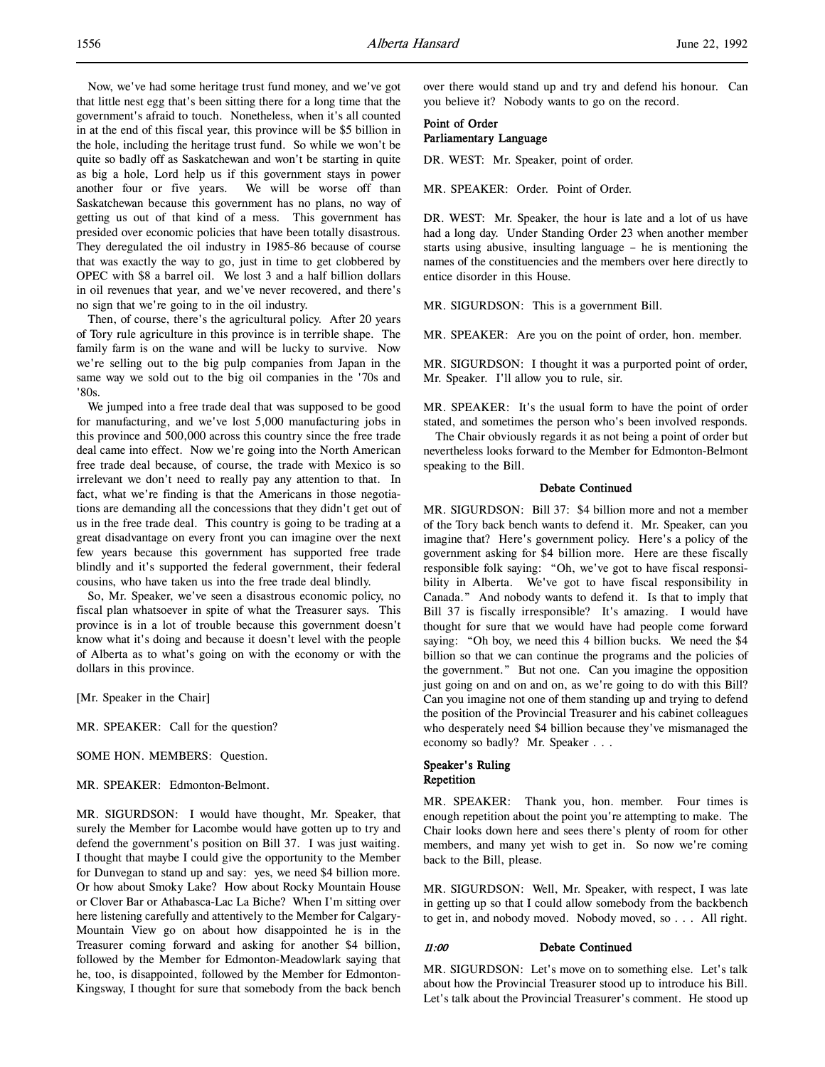Now, we've had some heritage trust fund money, and we've got that little nest egg that's been sitting there for a long time that the government's afraid to touch. Nonetheless, when it's all counted in at the end of this fiscal year, this province will be \$5 billion in the hole, including the heritage trust fund. So while we won't be quite so badly off as Saskatchewan and won't be starting in quite as big a hole, Lord help us if this government stays in power another four or five years. We will be worse off than Saskatchewan because this government has no plans, no way of getting us out of that kind of a mess. This government has presided over economic policies that have been totally disastrous. They deregulated the oil industry in 1985-86 because of course that was exactly the way to go, just in time to get clobbered by OPEC with \$8 a barrel oil. We lost 3 and a half billion dollars in oil revenues that year, and we've never recovered, and there's no sign that we're going to in the oil industry.

Then, of course, there's the agricultural policy. After 20 years of Tory rule agriculture in this province is in terrible shape. The family farm is on the wane and will be lucky to survive. Now we're selling out to the big pulp companies from Japan in the same way we sold out to the big oil companies in the '70s and '80s.

We jumped into a free trade deal that was supposed to be good for manufacturing, and we've lost 5,000 manufacturing jobs in this province and 500,000 across this country since the free trade deal came into effect. Now we're going into the North American free trade deal because, of course, the trade with Mexico is so irrelevant we don't need to really pay any attention to that. In fact, what we're finding is that the Americans in those negotiations are demanding all the concessions that they didn't get out of us in the free trade deal. This country is going to be trading at a great disadvantage on every front you can imagine over the next few years because this government has supported free trade blindly and it's supported the federal government, their federal cousins, who have taken us into the free trade deal blindly.

So, Mr. Speaker, we've seen a disastrous economic policy, no fiscal plan whatsoever in spite of what the Treasurer says. This province is in a lot of trouble because this government doesn't know what it's doing and because it doesn't level with the people of Alberta as to what's going on with the economy or with the dollars in this province.

[Mr. Speaker in the Chair]

MR. SPEAKER: Call for the question?

SOME HON. MEMBERS: Question.

MR. SPEAKER: Edmonton-Belmont.

MR. SIGURDSON: I would have thought, Mr. Speaker, that surely the Member for Lacombe would have gotten up to try and defend the government's position on Bill 37. I was just waiting. I thought that maybe I could give the opportunity to the Member for Dunvegan to stand up and say: yes, we need \$4 billion more. Or how about Smoky Lake? How about Rocky Mountain House or Clover Bar or Athabasca-Lac La Biche? When I'm sitting over here listening carefully and attentively to the Member for Calgary-Mountain View go on about how disappointed he is in the Treasurer coming forward and asking for another \$4 billion, followed by the Member for Edmonton-Meadowlark saying that he, too, is disappointed, followed by the Member for Edmonton-Kingsway, I thought for sure that somebody from the back bench over there would stand up and try and defend his honour. Can you believe it? Nobody wants to go on the record.

# Point of Order Parliamentary Language

DR. WEST: Mr. Speaker, point of order.

MR. SPEAKER: Order. Point of Order.

DR. WEST: Mr. Speaker, the hour is late and a lot of us have had a long day. Under Standing Order 23 when another member starts using abusive, insulting language – he is mentioning the names of the constituencies and the members over here directly to entice disorder in this House.

MR. SIGURDSON: This is a government Bill.

MR. SPEAKER: Are you on the point of order, hon. member.

MR. SIGURDSON: I thought it was a purported point of order, Mr. Speaker. I'll allow you to rule, sir.

MR. SPEAKER: It's the usual form to have the point of order stated, and sometimes the person who's been involved responds.

The Chair obviously regards it as not being a point of order but nevertheless looks forward to the Member for Edmonton-Belmont speaking to the Bill.

# Debate Continued

MR. SIGURDSON: Bill 37: \$4 billion more and not a member of the Tory back bench wants to defend it. Mr. Speaker, can you imagine that? Here's government policy. Here's a policy of the government asking for \$4 billion more. Here are these fiscally responsible folk saying: "Oh, we've got to have fiscal responsibility in Alberta. We've got to have fiscal responsibility in Canada." And nobody wants to defend it. Is that to imply that Bill 37 is fiscally irresponsible? It's amazing. I would have thought for sure that we would have had people come forward saying: "Oh boy, we need this 4 billion bucks. We need the \$4 billion so that we can continue the programs and the policies of the government." But not one. Can you imagine the opposition just going on and on and on, as we're going to do with this Bill? Can you imagine not one of them standing up and trying to defend the position of the Provincial Treasurer and his cabinet colleagues who desperately need \$4 billion because they've mismanaged the economy so badly? Mr. Speaker . . .

# Speaker's Ruling Repetition

MR. SPEAKER: Thank you, hon. member. Four times is enough repetition about the point you're attempting to make. The Chair looks down here and sees there's plenty of room for other members, and many yet wish to get in. So now we're coming back to the Bill, please.

MR. SIGURDSON: Well, Mr. Speaker, with respect, I was late in getting up so that I could allow somebody from the backbench to get in, and nobody moved. Nobody moved, so . . . All right.

# 11:00 Debate Continued

MR. SIGURDSON: Let's move on to something else. Let's talk about how the Provincial Treasurer stood up to introduce his Bill. Let's talk about the Provincial Treasurer's comment. He stood up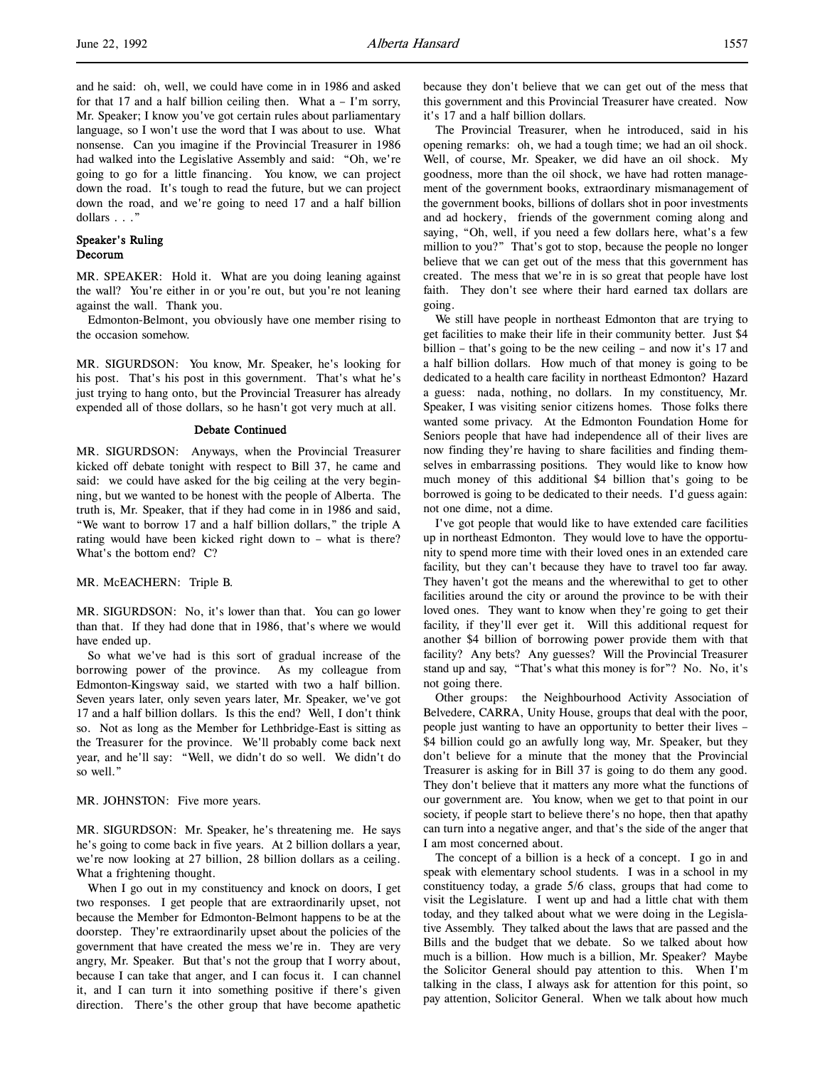and he said: oh, well, we could have come in in 1986 and asked for that 17 and a half billion ceiling then. What a – I'm sorry, Mr. Speaker; I know you've got certain rules about parliamentary language, so I won't use the word that I was about to use. What nonsense. Can you imagine if the Provincial Treasurer in 1986 had walked into the Legislative Assembly and said: "Oh, we're going to go for a little financing. You know, we can project down the road. It's tough to read the future, but we can project down the road, and we're going to need 17 and a half billion dollars . . ."

# Speaker's Ruling Decorum

MR. SPEAKER: Hold it. What are you doing leaning against the wall? You're either in or you're out, but you're not leaning against the wall. Thank you.

Edmonton-Belmont, you obviously have one member rising to the occasion somehow.

MR. SIGURDSON: You know, Mr. Speaker, he's looking for his post. That's his post in this government. That's what he's just trying to hang onto, but the Provincial Treasurer has already expended all of those dollars, so he hasn't got very much at all.

#### Debate Continued

MR. SIGURDSON: Anyways, when the Provincial Treasurer kicked off debate tonight with respect to Bill 37, he came and said: we could have asked for the big ceiling at the very beginning, but we wanted to be honest with the people of Alberta. The truth is, Mr. Speaker, that if they had come in in 1986 and said, "We want to borrow 17 and a half billion dollars," the triple A rating would have been kicked right down to – what is there? What's the bottom end? C?

#### MR. McEACHERN: Triple B.

MR. SIGURDSON: No, it's lower than that. You can go lower than that. If they had done that in 1986, that's where we would have ended up.

So what we've had is this sort of gradual increase of the borrowing power of the province. As my colleague from Edmonton-Kingsway said, we started with two a half billion. Seven years later, only seven years later, Mr. Speaker, we've got 17 and a half billion dollars. Is this the end? Well, I don't think so. Not as long as the Member for Lethbridge-East is sitting as the Treasurer for the province. We'll probably come back next year, and he'll say: "Well, we didn't do so well. We didn't do so well."

#### MR. JOHNSTON: Five more years.

MR. SIGURDSON: Mr. Speaker, he's threatening me. He says he's going to come back in five years. At 2 billion dollars a year, we're now looking at 27 billion, 28 billion dollars as a ceiling. What a frightening thought.

When I go out in my constituency and knock on doors, I get two responses. I get people that are extraordinarily upset, not because the Member for Edmonton-Belmont happens to be at the doorstep. They're extraordinarily upset about the policies of the government that have created the mess we're in. They are very angry, Mr. Speaker. But that's not the group that I worry about, because I can take that anger, and I can focus it. I can channel it, and I can turn it into something positive if there's given direction. There's the other group that have become apathetic

because they don't believe that we can get out of the mess that this government and this Provincial Treasurer have created. Now it's 17 and a half billion dollars.

The Provincial Treasurer, when he introduced, said in his opening remarks: oh, we had a tough time; we had an oil shock. Well, of course, Mr. Speaker, we did have an oil shock. My goodness, more than the oil shock, we have had rotten management of the government books, extraordinary mismanagement of the government books, billions of dollars shot in poor investments and ad hockery, friends of the government coming along and saying, "Oh, well, if you need a few dollars here, what's a few million to you?" That's got to stop, because the people no longer believe that we can get out of the mess that this government has created. The mess that we're in is so great that people have lost faith. They don't see where their hard earned tax dollars are going.

We still have people in northeast Edmonton that are trying to get facilities to make their life in their community better. Just \$4 billion – that's going to be the new ceiling – and now it's 17 and a half billion dollars. How much of that money is going to be dedicated to a health care facility in northeast Edmonton? Hazard a guess: nada, nothing, no dollars. In my constituency, Mr. Speaker, I was visiting senior citizens homes. Those folks there wanted some privacy. At the Edmonton Foundation Home for Seniors people that have had independence all of their lives are now finding they're having to share facilities and finding themselves in embarrassing positions. They would like to know how much money of this additional \$4 billion that's going to be borrowed is going to be dedicated to their needs. I'd guess again: not one dime, not a dime.

I've got people that would like to have extended care facilities up in northeast Edmonton. They would love to have the opportunity to spend more time with their loved ones in an extended care facility, but they can't because they have to travel too far away. They haven't got the means and the wherewithal to get to other facilities around the city or around the province to be with their loved ones. They want to know when they're going to get their facility, if they'll ever get it. Will this additional request for another \$4 billion of borrowing power provide them with that facility? Any bets? Any guesses? Will the Provincial Treasurer stand up and say, "That's what this money is for"? No. No, it's not going there.

Other groups: the Neighbourhood Activity Association of Belvedere, CARRA, Unity House, groups that deal with the poor, people just wanting to have an opportunity to better their lives – \$4 billion could go an awfully long way, Mr. Speaker, but they don't believe for a minute that the money that the Provincial Treasurer is asking for in Bill 37 is going to do them any good. They don't believe that it matters any more what the functions of our government are. You know, when we get to that point in our society, if people start to believe there's no hope, then that apathy can turn into a negative anger, and that's the side of the anger that I am most concerned about.

The concept of a billion is a heck of a concept. I go in and speak with elementary school students. I was in a school in my constituency today, a grade 5/6 class, groups that had come to visit the Legislature. I went up and had a little chat with them today, and they talked about what we were doing in the Legislative Assembly. They talked about the laws that are passed and the Bills and the budget that we debate. So we talked about how much is a billion. How much is a billion, Mr. Speaker? Maybe the Solicitor General should pay attention to this. When I'm talking in the class, I always ask for attention for this point, so pay attention, Solicitor General. When we talk about how much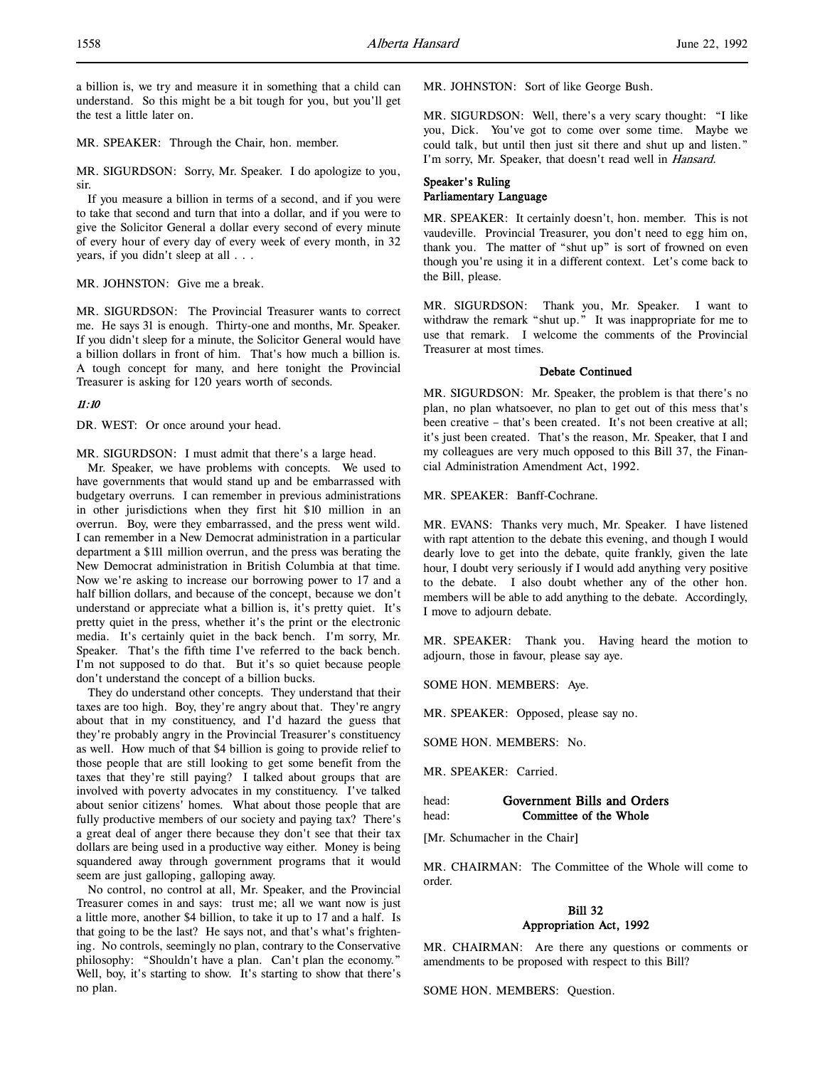a billion is, we try and measure it in something that a child can understand. So this might be a bit tough for you, but you'll get the test a little later on.

MR. SPEAKER: Through the Chair, hon. member.

MR. SIGURDSON: Sorry, Mr. Speaker. I do apologize to you, sir.

If you measure a billion in terms of a second, and if you were to take that second and turn that into a dollar, and if you were to give the Solicitor General a dollar every second of every minute of every hour of every day of every week of every month, in 32 years, if you didn't sleep at all . . .

MR. JOHNSTON: Give me a break.

MR. SIGURDSON: The Provincial Treasurer wants to correct me. He says 31 is enough. Thirty-one and months, Mr. Speaker. If you didn't sleep for a minute, the Solicitor General would have a billion dollars in front of him. That's how much a billion is. A tough concept for many, and here tonight the Provincial Treasurer is asking for 120 years worth of seconds.

#### 11:10

DR. WEST: Or once around your head.

MR. SIGURDSON: I must admit that there's a large head.

Mr. Speaker, we have problems with concepts. We used to have governments that would stand up and be embarrassed with budgetary overruns. I can remember in previous administrations in other jurisdictions when they first hit \$10 million in an overrun. Boy, were they embarrassed, and the press went wild. I can remember in a New Democrat administration in a particular department a \$111 million overrun, and the press was berating the New Democrat administration in British Columbia at that time. Now we're asking to increase our borrowing power to 17 and a half billion dollars, and because of the concept, because we don't understand or appreciate what a billion is, it's pretty quiet. It's pretty quiet in the press, whether it's the print or the electronic media. It's certainly quiet in the back bench. I'm sorry, Mr. Speaker. That's the fifth time I've referred to the back bench. I'm not supposed to do that. But it's so quiet because people don't understand the concept of a billion bucks.

They do understand other concepts. They understand that their taxes are too high. Boy, they're angry about that. They're angry about that in my constituency, and I'd hazard the guess that they're probably angry in the Provincial Treasurer's constituency as well. How much of that \$4 billion is going to provide relief to those people that are still looking to get some benefit from the taxes that they're still paying? I talked about groups that are involved with poverty advocates in my constituency. I've talked about senior citizens' homes. What about those people that are fully productive members of our society and paying tax? There's a great deal of anger there because they don't see that their tax dollars are being used in a productive way either. Money is being squandered away through government programs that it would seem are just galloping, galloping away.

No control, no control at all, Mr. Speaker, and the Provincial Treasurer comes in and says: trust me; all we want now is just a little more, another \$4 billion, to take it up to 17 and a half. Is that going to be the last? He says not, and that's what's frightening. No controls, seemingly no plan, contrary to the Conservative philosophy: "Shouldn't have a plan. Can't plan the economy." Well, boy, it's starting to show. It's starting to show that there's no plan.

MR. JOHNSTON: Sort of like George Bush.

MR. SIGURDSON: Well, there's a very scary thought: "I like you, Dick. You've got to come over some time. Maybe we could talk, but until then just sit there and shut up and listen." I'm sorry, Mr. Speaker, that doesn't read well in Hansard.

# Speaker's Ruling Parliamentary Language

MR. SPEAKER: It certainly doesn't, hon. member. This is not vaudeville. Provincial Treasurer, you don't need to egg him on, thank you. The matter of "shut up" is sort of frowned on even though you're using it in a different context. Let's come back to the Bill, please.

MR. SIGURDSON: Thank you, Mr. Speaker. I want to withdraw the remark "shut up." It was inappropriate for me to use that remark. I welcome the comments of the Provincial Treasurer at most times.

# Debate Continued

MR. SIGURDSON: Mr. Speaker, the problem is that there's no plan, no plan whatsoever, no plan to get out of this mess that's been creative – that's been created. It's not been creative at all; it's just been created. That's the reason, Mr. Speaker, that I and my colleagues are very much opposed to this Bill 37, the Financial Administration Amendment Act, 1992.

MR. SPEAKER: Banff-Cochrane.

MR. EVANS: Thanks very much, Mr. Speaker. I have listened with rapt attention to the debate this evening, and though I would dearly love to get into the debate, quite frankly, given the late hour, I doubt very seriously if I would add anything very positive to the debate. I also doubt whether any of the other hon. members will be able to add anything to the debate. Accordingly, I move to adjourn debate.

MR. SPEAKER: Thank you. Having heard the motion to adjourn, those in favour, please say aye.

SOME HON. MEMBERS: Aye.

MR. SPEAKER: Opposed, please say no.

SOME HON. MEMBERS: No.

MR. SPEAKER: Carried.

| head: | Government Bills and Orders |
|-------|-----------------------------|
| head: | Committee of the Whole      |

[Mr. Schumacher in the Chair]

MR. CHAIRMAN: The Committee of the Whole will come to order.

# Bill 32 Appropriation Act, 1992

MR. CHAIRMAN: Are there any questions or comments or amendments to be proposed with respect to this Bill?

SOME HON. MEMBERS: Question.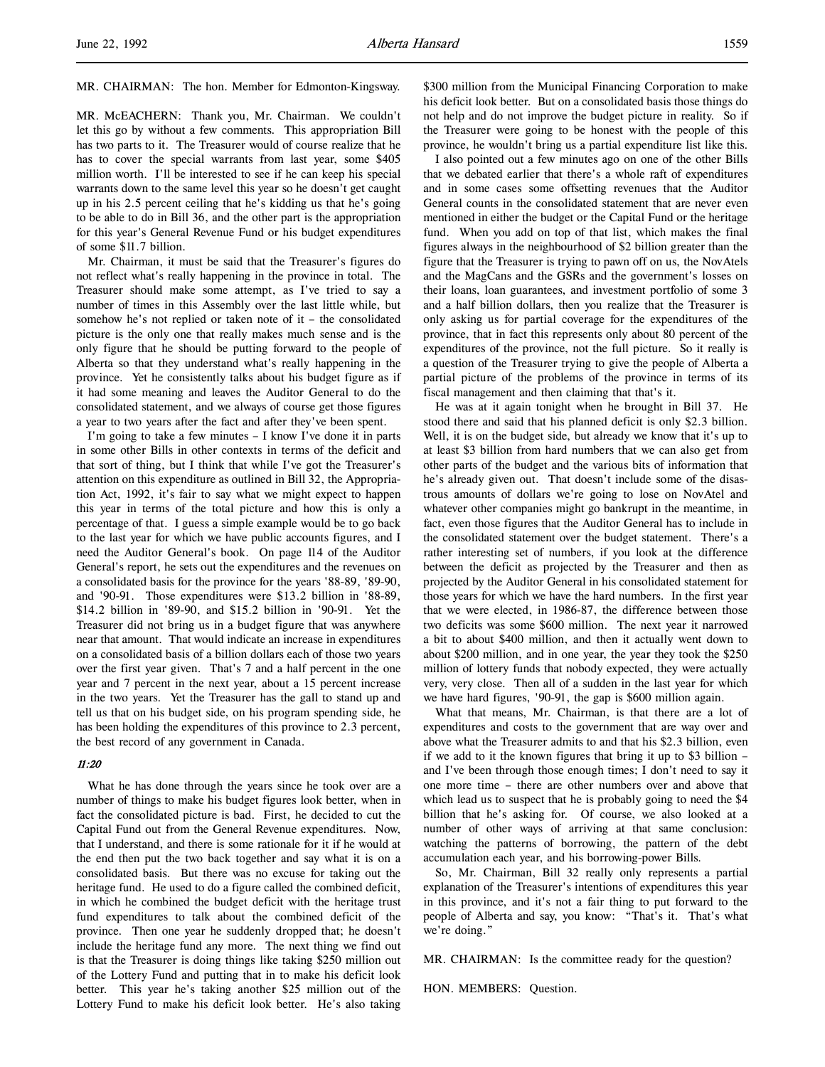# MR. CHAIRMAN: The hon. Member for Edmonton-Kingsway.

MR. McEACHERN: Thank you, Mr. Chairman. We couldn't let this go by without a few comments. This appropriation Bill has two parts to it. The Treasurer would of course realize that he has to cover the special warrants from last year, some \$405 million worth. I'll be interested to see if he can keep his special warrants down to the same level this year so he doesn't get caught up in his 2.5 percent ceiling that he's kidding us that he's going to be able to do in Bill 36, and the other part is the appropriation for this year's General Revenue Fund or his budget expenditures of some \$11.7 billion.

Mr. Chairman, it must be said that the Treasurer's figures do not reflect what's really happening in the province in total. The Treasurer should make some attempt, as I've tried to say a number of times in this Assembly over the last little while, but somehow he's not replied or taken note of it – the consolidated picture is the only one that really makes much sense and is the only figure that he should be putting forward to the people of Alberta so that they understand what's really happening in the province. Yet he consistently talks about his budget figure as if it had some meaning and leaves the Auditor General to do the consolidated statement, and we always of course get those figures a year to two years after the fact and after they've been spent.

I'm going to take a few minutes – I know I've done it in parts in some other Bills in other contexts in terms of the deficit and that sort of thing, but I think that while I've got the Treasurer's attention on this expenditure as outlined in Bill 32, the Appropriation Act, 1992, it's fair to say what we might expect to happen this year in terms of the total picture and how this is only a percentage of that. I guess a simple example would be to go back to the last year for which we have public accounts figures, and I need the Auditor General's book. On page 114 of the Auditor General's report, he sets out the expenditures and the revenues on a consolidated basis for the province for the years '88-89, '89-90, and '90-91. Those expenditures were \$13.2 billion in '88-89, \$14.2 billion in '89-90, and \$15.2 billion in '90-91. Yet the Treasurer did not bring us in a budget figure that was anywhere near that amount. That would indicate an increase in expenditures on a consolidated basis of a billion dollars each of those two years over the first year given. That's 7 and a half percent in the one year and 7 percent in the next year, about a 15 percent increase in the two years. Yet the Treasurer has the gall to stand up and tell us that on his budget side, on his program spending side, he has been holding the expenditures of this province to 2.3 percent, the best record of any government in Canada.

## 11:20

What he has done through the years since he took over are a number of things to make his budget figures look better, when in fact the consolidated picture is bad. First, he decided to cut the Capital Fund out from the General Revenue expenditures. Now, that I understand, and there is some rationale for it if he would at the end then put the two back together and say what it is on a consolidated basis. But there was no excuse for taking out the heritage fund. He used to do a figure called the combined deficit, in which he combined the budget deficit with the heritage trust fund expenditures to talk about the combined deficit of the province. Then one year he suddenly dropped that; he doesn't include the heritage fund any more. The next thing we find out is that the Treasurer is doing things like taking \$250 million out of the Lottery Fund and putting that in to make his deficit look better. This year he's taking another \$25 million out of the Lottery Fund to make his deficit look better. He's also taking

\$300 million from the Municipal Financing Corporation to make his deficit look better. But on a consolidated basis those things do not help and do not improve the budget picture in reality. So if the Treasurer were going to be honest with the people of this province, he wouldn't bring us a partial expenditure list like this.

I also pointed out a few minutes ago on one of the other Bills that we debated earlier that there's a whole raft of expenditures and in some cases some offsetting revenues that the Auditor General counts in the consolidated statement that are never even mentioned in either the budget or the Capital Fund or the heritage fund. When you add on top of that list, which makes the final figures always in the neighbourhood of \$2 billion greater than the figure that the Treasurer is trying to pawn off on us, the NovAtels and the MagCans and the GSRs and the government's losses on their loans, loan guarantees, and investment portfolio of some 3 and a half billion dollars, then you realize that the Treasurer is only asking us for partial coverage for the expenditures of the province, that in fact this represents only about 80 percent of the expenditures of the province, not the full picture. So it really is a question of the Treasurer trying to give the people of Alberta a partial picture of the problems of the province in terms of its fiscal management and then claiming that that's it.

He was at it again tonight when he brought in Bill 37. He stood there and said that his planned deficit is only \$2.3 billion. Well, it is on the budget side, but already we know that it's up to at least \$3 billion from hard numbers that we can also get from other parts of the budget and the various bits of information that he's already given out. That doesn't include some of the disastrous amounts of dollars we're going to lose on NovAtel and whatever other companies might go bankrupt in the meantime, in fact, even those figures that the Auditor General has to include in the consolidated statement over the budget statement. There's a rather interesting set of numbers, if you look at the difference between the deficit as projected by the Treasurer and then as projected by the Auditor General in his consolidated statement for those years for which we have the hard numbers. In the first year that we were elected, in 1986-87, the difference between those two deficits was some \$600 million. The next year it narrowed a bit to about \$400 million, and then it actually went down to about \$200 million, and in one year, the year they took the \$250 million of lottery funds that nobody expected, they were actually very, very close. Then all of a sudden in the last year for which we have hard figures, '90-91, the gap is \$600 million again.

What that means, Mr. Chairman, is that there are a lot of expenditures and costs to the government that are way over and above what the Treasurer admits to and that his \$2.3 billion, even if we add to it the known figures that bring it up to \$3 billion – and I've been through those enough times; I don't need to say it one more time – there are other numbers over and above that which lead us to suspect that he is probably going to need the \$4 billion that he's asking for. Of course, we also looked at a number of other ways of arriving at that same conclusion: watching the patterns of borrowing, the pattern of the debt accumulation each year, and his borrowing-power Bills.

So, Mr. Chairman, Bill 32 really only represents a partial explanation of the Treasurer's intentions of expenditures this year in this province, and it's not a fair thing to put forward to the people of Alberta and say, you know: "That's it. That's what we're doing."

MR. CHAIRMAN: Is the committee ready for the question?

HON. MEMBERS: Question.